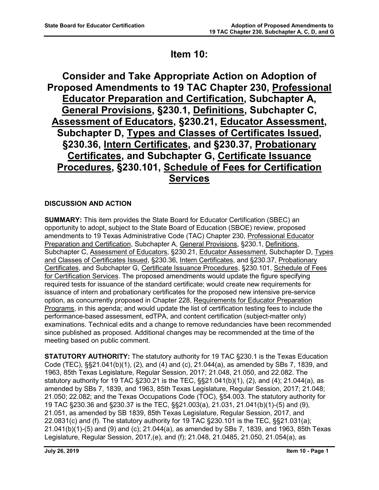# **Item 10:**

**Consider and Take Appropriate Action on Adoption of Proposed Amendments to 19 TAC Chapter 230, Professional Educator Preparation and Certification, Subchapter A, General Provisions, §230.1, Definitions, Subchapter C, Assessment of Educators, §230.21, Educator Assessment, Subchapter D, Types and Classes of Certificates Issued, §230.36, Intern Certificates, and §230.37, Probationary Certificates, and Subchapter G, Certificate Issuance Procedures, §230.101, Schedule of Fees for Certification Services**

# **DISCUSSION AND ACTION**

**SUMMARY:** This item provides the State Board for Educator Certification (SBEC) an opportunity to adopt, subject to the State Board of Education (SBOE) review, proposed amendments to 19 Texas Administrative Code (TAC) Chapter 230, Professional Educator Preparation and Certification, Subchapter A, General Provisions, §230.1, Definitions, Subchapter C, Assessment of Educators, §230.21, Educator Assessment, Subchapter D, Types and Classes of Certificates Issued, §230.36, Intern Certificates, and §230.37, Probationary Certificates, and Subchapter G, Certificate Issuance Procedures, §230.101, Schedule of Fees for Certification Services. The proposed amendments would update the figure specifying required tests for issuance of the standard certificate; would create new requirements for issuance of intern and probationary certificates for the proposed new intensive pre-service option, as concurrently proposed in Chapter 228, Requirements for Educator Preparation Programs, in this agenda; and would update the list of certification testing fees to include the performance-based assessment, edTPA, and content certification (subject-matter only) examinations. Technical edits and a change to remove redundancies have been recommended since published as proposed. Additional changes may be recommended at the time of the meeting based on public comment.

**STATUTORY AUTHORITY:** The statutory authority for 19 TAC §230.1 is the Texas Education Code (TEC), §§21.041(b)(1), (2), and (4) and (c), 21.044(a), as amended by SBs 7, 1839, and 1963, 85th Texas Legislature, Regular Session, 2017; 21.048, 21.050, and 22.082. The statutory authority for 19 TAC §230.21 is the TEC, §§21.041(b)(1), (2), and (4); 21.044(a), as amended by SBs 7, 1839, and 1963, 85th Texas Legislature, Regular Session, 2017; 21.048; 21.050; 22.082; and the Texas Occupations Code (TOC), §54.003. The statutory authority for 19 TAC §230.36 and §230.37 is the TEC, §§21.003(a), 21.031, 21.041(b)(1)-(5) and (9), 21.051, as amended by SB 1839, 85th Texas Legislature, Regular Session, 2017, and 22.0831(c) and (f). The statutory authority for 19 TAC §230.101 is the TEC, §§21.031(a); 21.041(b)(1)-(5) and (9) and (c); 21.044(a), as amended by SBs 7, 1839, and 1963, 85th Texas Legislature, Regular Session, 2017,(e), and (f); 21.048, 21.0485, 21.050, 21.054(a), as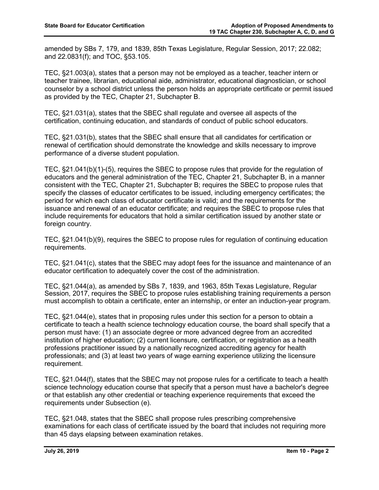amended by SBs 7, 179, and 1839, 85th Texas Legislature, Regular Session, 2017; 22.082; and 22.0831(f); and TOC, §53.105.

TEC, §21.003(a), states that a person may not be employed as a teacher, teacher intern or teacher trainee, librarian, educational aide, administrator, educational diagnostician, or school counselor by a school district unless the person holds an appropriate certificate or permit issued as provided by the TEC, Chapter 21, Subchapter B.

TEC, §21.031(a), states that the SBEC shall regulate and oversee all aspects of the certification, continuing education, and standards of conduct of public school educators.

TEC, §21.031(b), states that the SBEC shall ensure that all candidates for certification or renewal of certification should demonstrate the knowledge and skills necessary to improve performance of a diverse student population.

TEC, §21.041(b)(1)-(5), requires the SBEC to propose rules that provide for the regulation of educators and the general administration of the TEC, Chapter 21, Subchapter B, in a manner consistent with the TEC, Chapter 21, Subchapter B; requires the SBEC to propose rules that specify the classes of educator certificates to be issued, including emergency certificates; the period for which each class of educator certificate is valid; and the requirements for the issuance and renewal of an educator certificate; and requires the SBEC to propose rules that include requirements for educators that hold a similar certification issued by another state or foreign country.

TEC, §21.041(b)(9), requires the SBEC to propose rules for regulation of continuing education requirements.

TEC, §21.041(c), states that the SBEC may adopt fees for the issuance and maintenance of an educator certification to adequately cover the cost of the administration.

TEC, §21.044(a), as amended by SBs 7, 1839, and 1963, 85th Texas Legislature, Regular Session, 2017, requires the SBEC to propose rules establishing training requirements a person must accomplish to obtain a certificate, enter an internship, or enter an induction-year program.

TEC, §21.044(e), states that in proposing rules under this section for a person to obtain a certificate to teach a health science technology education course, the board shall specify that a person must have: (1) an associate degree or more advanced degree from an accredited institution of higher education; (2) current licensure, certification, or registration as a health professions practitioner issued by a nationally recognized accrediting agency for health professionals; and (3) at least two years of wage earning experience utilizing the licensure requirement.

TEC, §21.044(f), states that the SBEC may not propose rules for a certificate to teach a health science technology education course that specify that a person must have a bachelor's degree or that establish any other credential or teaching experience requirements that exceed the requirements under Subsection (e).

TEC, §21.048, states that the SBEC shall propose rules prescribing comprehensive examinations for each class of certificate issued by the board that includes not requiring more than 45 days elapsing between examination retakes.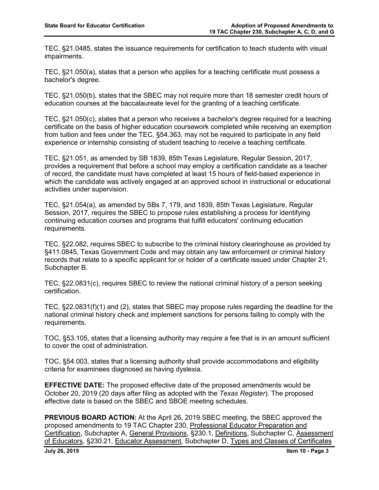TEC, §21.0485, states the issuance requirements for certification to teach students with visual impairments.

TEC, §21.050(a), states that a person who applies for a teaching certificate must possess a bachelor's degree.

TEC, §21.050(b), states that the SBEC may not require more than 18 semester credit hours of education courses at the baccalaureate level for the granting of a teaching certificate.

TEC, §21.050(c), states that a person who receives a bachelor's degree required for a teaching certificate on the basis of higher education coursework completed while receiving an exemption from tuition and fees under the TEC, §54.363, may not be required to participate in any field experience or internship consisting of student teaching to receive a teaching certificate.

TEC, §21.051, as amended by SB 1839, 85th Texas Legislature, Regular Session, 2017, provides a requirement that before a school may employ a certification candidate as a teacher of record, the candidate must have completed at least 15 hours of field-based experience in which the candidate was actively engaged at an approved school in instructional or educational activities under supervision.

TEC, §21.054(a), as amended by SBs 7, 179, and 1839, 85th Texas Legislature, Regular Session, 2017, requires the SBEC to propose rules establishing a process for identifying continuing education courses and programs that fulfill educators' continuing education requirements.

TEC, §22.082, requires SBEC to subscribe to the criminal history clearinghouse as provided by §411.0845, Texas Government Code and may obtain any law enforcement or criminal history records that relate to a specific applicant for or holder of a certificate issued under Chapter 21, Subchapter B.

TEC, §22.0831(c), requires SBEC to review the national criminal history of a person seeking certification.

TEC, §22.0831(f)(1) and (2), states that SBEC may propose rules regarding the deadline for the national criminal history check and implement sanctions for persons failing to comply with the requirements.

TOC, §53.105, states that a licensing authority may require a fee that is in an amount sufficient to cover the cost of administration.

TOC, §54.003, states that a licensing authority shall provide accommodations and eligibility criteria for examinees diagnosed as having dyslexia.

**EFFECTIVE DATE:** The proposed effective date of the proposed amendments would be October 20, 2019 (20 days after filing as adopted with the *Texas Register*). The proposed effective date is based on the SBEC and SBOE meeting schedules.

**PREVIOUS BOARD ACTION:** At the April 26, 2019 SBEC meeting, the SBEC approved the proposed amendments to 19 TAC Chapter 230, Professional Educator Preparation and Certification, Subchapter A, General Provisions, §230.1, Definitions, Subchapter C, Assessment of Educators, §230.21, Educator Assessment, Subchapter D, Types and Classes of Certificates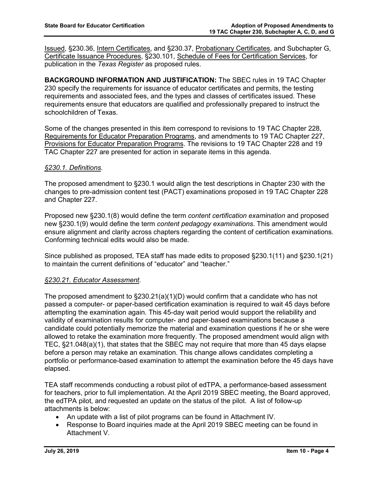Issued, §230.36, Intern Certificates, and §230.37, Probationary Certificates, and Subchapter G, Certificate Issuance Procedures, §230.101, Schedule of Fees for Certification Services, for publication in the *Texas Register* as proposed rules.

**BACKGROUND INFORMATION AND JUSTIFICATION:** The SBEC rules in 19 TAC Chapter 230 specify the requirements for issuance of educator certificates and permits, the testing requirements and associated fees, and the types and classes of certificates issued. These requirements ensure that educators are qualified and professionally prepared to instruct the schoolchildren of Texas.

Some of the changes presented in this item correspond to revisions to 19 TAC Chapter 228, Requirements for Educator Preparation Programs, and amendments to 19 TAC Chapter 227, Provisions for Educator Preparation Programs. The revisions to 19 TAC Chapter 228 and 19 TAC Chapter 227 are presented for action in separate items in this agenda.

### *§230.1. Definitions.*

The proposed amendment to §230.1 would align the test descriptions in Chapter 230 with the changes to pre-admission content test (PACT) examinations proposed in 19 TAC Chapter 228 and Chapter 227.

Proposed new §230.1(8) would define the term *content certification examination* and proposed new §230.1(9) would define the term *content pedagogy examinations*. This amendment would ensure alignment and clarity across chapters regarding the content of certification examinations. Conforming technical edits would also be made.

Since published as proposed, TEA staff has made edits to proposed §230.1(11) and §230.1(21) to maintain the current definitions of "educator" and "teacher."

### *§230.21. Educator Assessment.*

The proposed amendment to §230.21(a)(1)(D) would confirm that a candidate who has not passed a computer- or paper-based certification examination is required to wait 45 days before attempting the examination again. This 45-day wait period would support the reliability and validity of examination results for computer- and paper-based examinations because a candidate could potentially memorize the material and examination questions if he or she were allowed to retake the examination more frequently. The proposed amendment would align with TEC, §21.048(a)(1), that states that the SBEC may not require that more than 45 days elapse before a person may retake an examination. This change allows candidates completing a portfolio or performance-based examination to attempt the examination before the 45 days have elapsed.

TEA staff recommends conducting a robust pilot of edTPA, a performance-based assessment for teachers, prior to full implementation. At the April 2019 SBEC meeting, the Board approved, the edTPA pilot, and requested an update on the status of the pilot. A list of follow-up attachments is below:

- An update with a list of pilot programs can be found in Attachment IV.
- Response to Board inquiries made at the April 2019 SBEC meeting can be found in Attachment V.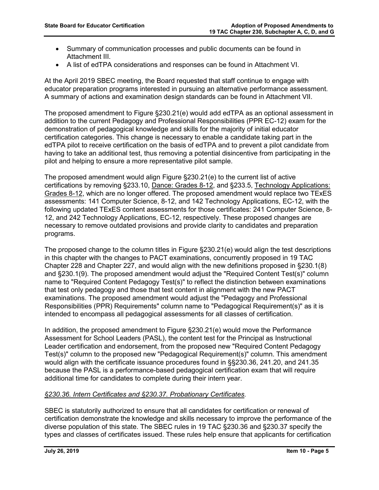- Summary of communication processes and public documents can be found in Attachment III.
- A list of edTPA considerations and responses can be found in Attachment VI.

At the April 2019 SBEC meeting, the Board requested that staff continue to engage with educator preparation programs interested in pursuing an alternative performance assessment. A summary of actions and examination design standards can be found in Attachment VII.

The proposed amendment to Figure §230.21(e) would add edTPA as an optional assessment in addition to the current Pedagogy and Professional Responsibilities (PPR EC-12) exam for the demonstration of pedagogical knowledge and skills for the majority of initial educator certification categories. This change is necessary to enable a candidate taking part in the edTPA pilot to receive certification on the basis of edTPA and to prevent a pilot candidate from having to take an additional test, thus removing a potential disincentive from participating in the pilot and helping to ensure a more representative pilot sample.

The proposed amendment would align Figure §230.21(e) to the current list of active certifications by removing §233.10, Dance: Grades 8-12, and §233.5, Technology Applications: Grades 8-12, which are no longer offered. The proposed amendment would replace two TExES assessments: 141 Computer Science, 8-12, and 142 Technology Applications, EC-12, with the following updated TExES content assessments for those certificates: 241 Computer Science, 8- 12, and 242 Technology Applications, EC-12, respectively. These proposed changes are necessary to remove outdated provisions and provide clarity to candidates and preparation programs.

The proposed change to the column titles in Figure §230.21(e) would align the test descriptions in this chapter with the changes to PACT examinations, concurrently proposed in 19 TAC Chapter 228 and Chapter 227, and would align with the new definitions proposed in §230.1(8) and §230.1(9). The proposed amendment would adjust the "Required Content Test(s)" column name to "Required Content Pedagogy Test(s)" to reflect the distinction between examinations that test only pedagogy and those that test content in alignment with the new PACT examinations. The proposed amendment would adjust the "Pedagogy and Professional Responsibilities (PPR) Requirements" column name to "Pedagogical Requirement(s)" as it is intended to encompass all pedagogical assessments for all classes of certification.

In addition, the proposed amendment to Figure §230.21(e) would move the Performance Assessment for School Leaders (PASL), the content test for the Principal as Instructional Leader certification and endorsement, from the proposed new "Required Content Pedagogy Test(s)" column to the proposed new "Pedagogical Requirement(s)" column. This amendment would align with the certificate issuance procedures found in §§230.36, 241.20, and 241.35 because the PASL is a performance-based pedagogical certification exam that will require additional time for candidates to complete during their intern year.

### *§230.36. Intern Certificates and §230.37. Probationary Certificates.*

SBEC is statutorily authorized to ensure that all candidates for certification or renewal of certification demonstrate the knowledge and skills necessary to improve the performance of the diverse population of this state. The SBEC rules in 19 TAC §230.36 and §230.37 specify the types and classes of certificates issued. These rules help ensure that applicants for certification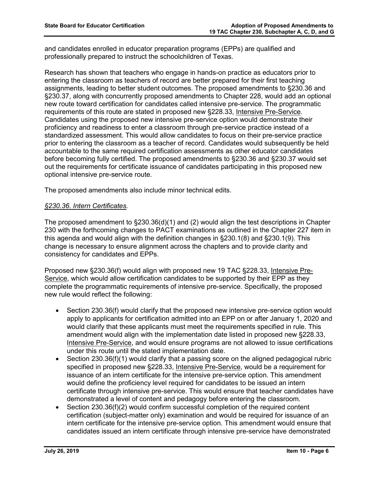and candidates enrolled in educator preparation programs (EPPs) are qualified and professionally prepared to instruct the schoolchildren of Texas.

Research has shown that teachers who engage in hands-on practice as educators prior to entering the classroom as teachers of record are better prepared for their first teaching assignments, leading to better student outcomes. The proposed amendments to §230.36 and §230.37, along with concurrently proposed amendments to Chapter 228, would add an optional new route toward certification for candidates called intensive pre-service. The programmatic requirements of this route are stated in proposed new §228.33, Intensive Pre-Service. Candidates using the proposed new intensive pre-service option would demonstrate their proficiency and readiness to enter a classroom through pre-service practice instead of a standardized assessment. This would allow candidates to focus on their pre-service practice prior to entering the classroom as a teacher of record. Candidates would subsequently be held accountable to the same required certification assessments as other educator candidates before becoming fully certified. The proposed amendments to §230.36 and §230.37 would set out the requirements for certificate issuance of candidates participating in this proposed new optional intensive pre-service route.

The proposed amendments also include minor technical edits.

### *§230.36. Intern Certificates.*

The proposed amendment to §230.36(d)(1) and (2) would align the test descriptions in Chapter 230 with the forthcoming changes to PACT examinations as outlined in the Chapter 227 item in this agenda and would align with the definition changes in §230.1(8) and §230.1(9). This change is necessary to ensure alignment across the chapters and to provide clarity and consistency for candidates and EPPs.

Proposed new §230.36(f) would align with proposed new 19 TAC §228.33, Intensive Pre-Service, which would allow certification candidates to be supported by their EPP as they complete the programmatic requirements of intensive pre-service. Specifically, the proposed new rule would reflect the following:

- Section 230.36(f) would clarify that the proposed new intensive pre-service option would apply to applicants for certification admitted into an EPP on or after January 1, 2020 and would clarify that these applicants must meet the requirements specified in rule. This amendment would align with the implementation date listed in proposed new §228.33, Intensive Pre-Service, and would ensure programs are not allowed to issue certifications under this route until the stated implementation date.
- Section 230.36(f)(1) would clarify that a passing score on the aligned pedagogical rubric specified in proposed new §228.33, Intensive Pre-Service, would be a requirement for issuance of an intern certificate for the intensive pre-service option. This amendment would define the proficiency level required for candidates to be issued an intern certificate through intensive pre-service. This would ensure that teacher candidates have demonstrated a level of content and pedagogy before entering the classroom.
- Section 230.36(f)(2) would confirm successful completion of the required content certification (subject-matter only) examination and would be required for issuance of an intern certificate for the intensive pre-service option. This amendment would ensure that candidates issued an intern certificate through intensive pre-service have demonstrated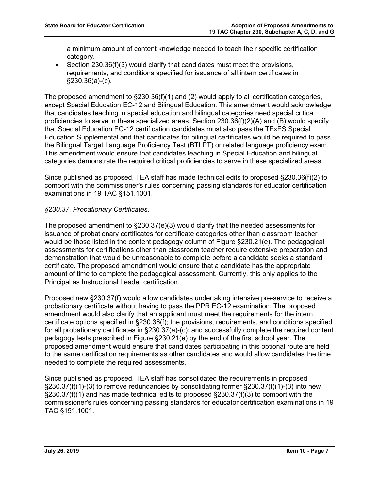a minimum amount of content knowledge needed to teach their specific certification category.

• Section 230.36(f)(3) would clarify that candidates must meet the provisions, requirements, and conditions specified for issuance of all intern certificates in §230.36(a)-(c).

The proposed amendment to  $\S 230.36(f)(1)$  and (2) would apply to all certification categories, except Special Education EC-12 and Bilingual Education. This amendment would acknowledge that candidates teaching in special education and bilingual categories need special critical proficiencies to serve in these specialized areas. Section 230.36(f)(2)(A) and (B) would specify that Special Education EC-12 certification candidates must also pass the TExES Special Education Supplemental and that candidates for bilingual certificates would be required to pass the Bilingual Target Language Proficiency Test (BTLPT) or related language proficiency exam. This amendment would ensure that candidates teaching in Special Education and bilingual categories demonstrate the required critical proficiencies to serve in these specialized areas.

Since published as proposed, TEA staff has made technical edits to proposed §230.36(f)(2) to comport with the commissioner's rules concerning passing standards for educator certification examinations in 19 TAC §151.1001.

# *§230.37. Probationary Certificates.*

The proposed amendment to  $\S230.37(e)(3)$  would clarify that the needed assessments for issuance of probationary certificates for certificate categories other than classroom teacher would be those listed in the content pedagogy column of Figure §230.21(e). The pedagogical assessments for certifications other than classroom teacher require extensive preparation and demonstration that would be unreasonable to complete before a candidate seeks a standard certificate. The proposed amendment would ensure that a candidate has the appropriate amount of time to complete the pedagogical assessment. Currently, this only applies to the Principal as Instructional Leader certification.

Proposed new §230.37(f) would allow candidates undertaking intensive pre-service to receive a probationary certificate without having to pass the PPR EC-12 examination. The proposed amendment would also clarify that an applicant must meet the requirements for the intern certificate options specified in §230.36(f); the provisions, requirements, and conditions specified for all probationary certificates in §230.37(a)-(c); and successfully complete the required content pedagogy tests prescribed in Figure §230.21(e) by the end of the first school year. The proposed amendment would ensure that candidates participating in this optional route are held to the same certification requirements as other candidates and would allow candidates the time needed to complete the required assessments.

Since published as proposed, TEA staff has consolidated the requirements in proposed §230.37(f)(1)-(3) to remove redundancies by consolidating former §230.37(f)(1)-(3) into new §230.37(f)(1) and has made technical edits to proposed §230.37(f)(3) to comport with the commissioner's rules concerning passing standards for educator certification examinations in 19 TAC §151.1001.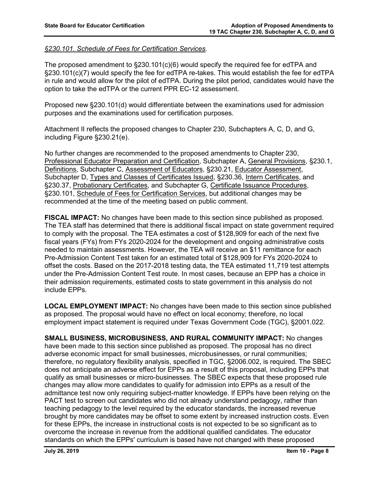### *§230.101. Schedule of Fees for Certification Services.*

The proposed amendment to §230.101(c)(6) would specify the required fee for edTPA and §230.101(c)(7) would specify the fee for edTPA re-takes. This would establish the fee for edTPA in rule and would allow for the pilot of edTPA. During the pilot period, candidates would have the option to take the edTPA or the current PPR EC-12 assessment.

Proposed new §230.101(d) would differentiate between the examinations used for admission purposes and the examinations used for certification purposes.

Attachment II reflects the proposed changes to Chapter 230, Subchapters A, C, D, and G, including Figure §230.21(e).

No further changes are recommended to the proposed amendments to Chapter 230, Professional Educator Preparation and Certification, Subchapter A, General Provisions, §230.1, Definitions, Subchapter C, Assessment of Educators, §230.21, Educator Assessment, Subchapter D, Types and Classes of Certificates Issued, §230.36, Intern Certificates, and §230.37, Probationary Certificates, and Subchapter G, Certificate Issuance Procedures, §230.101, Schedule of Fees for Certification Services, but additional changes may be recommended at the time of the meeting based on public comment.

**FISCAL IMPACT:** No changes have been made to this section since published as proposed. The TEA staff has determined that there is additional fiscal impact on state government required to comply with the proposal. The TEA estimates a cost of \$128,909 for each of the next five fiscal years (FYs) from FYs 2020-2024 for the development and ongoing administrative costs needed to maintain assessments. However, the TEA will receive an \$11 remittance for each Pre-Admission Content Test taken for an estimated total of \$128,909 for FYs 2020-2024 to offset the costs. Based on the 2017-2018 testing data, the TEA estimated 11,719 test attempts under the Pre-Admission Content Test route. In most cases, because an EPP has a choice in their admission requirements, estimated costs to state government in this analysis do not include EPPs.

**LOCAL EMPLOYMENT IMPACT:** No changes have been made to this section since published as proposed. The proposal would have no effect on local economy; therefore, no local employment impact statement is required under Texas Government Code (TGC), §2001.022.

**SMALL BUSINESS, MICROBUSINESS, AND RURAL COMMUNITY IMPACT:** No changes have been made to this section since published as proposed. The proposal has no direct adverse economic impact for small businesses, microbusinesses, or rural communities; therefore, no regulatory flexibility analysis, specified in TGC, §2006.002, is required. The SBEC does not anticipate an adverse effect for EPPs as a result of this proposal, including EPPs that qualify as small businesses or micro-businesses. The SBEC expects that these proposed rule changes may allow more candidates to qualify for admission into EPPs as a result of the admittance test now only requiring subject-matter knowledge. If EPPs have been relying on the PACT test to screen out candidates who did not already understand pedagogy, rather than teaching pedagogy to the level required by the educator standards, the increased revenue brought by more candidates may be offset to some extent by increased instruction costs. Even for these EPPs, the increase in instructional costs is not expected to be so significant as to overcome the increase in revenue from the additional qualified candidates. The educator standards on which the EPPs' curriculum is based have not changed with these proposed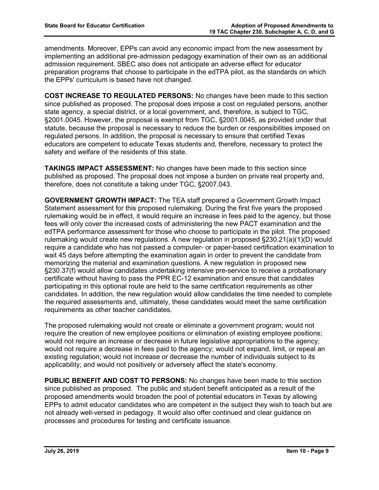amendments. Moreover, EPPs can avoid any economic impact from the new assessment by implementing an additional pre-admission pedagogy examination of their own as an additional admission requirement. SBEC also does not anticipate an adverse effect for educator preparation programs that choose to participate in the edTPA pilot, as the standards on which the EPPs' curriculum is based have not changed.

**COST INCREASE TO REGULATED PERSONS:** No changes have been made to this section since published as proposed. The proposal does impose a cost on regulated persons, another state agency, a special district, or a local government, and, therefore, is subject to TGC, §2001.0045. However, the proposal is exempt from TGC, §2001.0045, as provided under that statute, because the proposal is necessary to reduce the burden or responsibilities imposed on regulated persons. In addition, the proposal is necessary to ensure that certified Texas educators are competent to educate Texas students and, therefore, necessary to protect the safety and welfare of the residents of this state.

**TAKINGS IMPACT ASSESSMENT:** No changes have been made to this section since published as proposed. The proposal does not impose a burden on private real property and, therefore, does not constitute a taking under TGC, §2007.043.

**GOVERNMENT GROWTH IMPACT:** The TEA staff prepared a Government Growth Impact Statement assessment for this proposed rulemaking. During the first five years the proposed rulemaking would be in effect, it would require an increase in fees paid to the agency, but those fees will only cover the increased costs of administering the new PACT examination and the edTPA performance assessment for those who choose to participate in the pilot. The proposed rulemaking would create new regulations. A new regulation in proposed §230.21(a)(1)(D) would require a candidate who has not passed a computer- or paper-based certification examination to wait 45 days before attempting the examination again in order to prevent the candidate from memorizing the material and examination questions. A new regulation in proposed new §230.37(f) would allow candidates undertaking intensive pre-service to receive a probationary certificate without having to pass the PPR EC-12 examination and ensure that candidates participating in this optional route are held to the same certification requirements as other candidates. In addition, the new regulation would allow candidates the time needed to complete the required assessments and, ultimately, these candidates would meet the same certification requirements as other teacher candidates.

The proposed rulemaking would not create or eliminate a government program; would not require the creation of new employee positions or elimination of existing employee positions; would not require an increase or decrease in future legislative appropriations to the agency; would not require a decrease in fees paid to the agency; would not expand, limit, or repeal an existing regulation; would not increase or decrease the number of individuals subject to its applicability; and would not positively or adversely affect the state's economy.

**PUBLIC BENEFIT AND COST TO PERSONS:** No changes have been made to this section since published as proposed. The public and student benefit anticipated as a result of the proposed amendments would broaden the pool of potential educators in Texas by allowing EPPs to admit educator candidates who are competent in the subject they wish to teach but are not already well-versed in pedagogy. It would also offer continued and clear guidance on processes and procedures for testing and certificate issuance.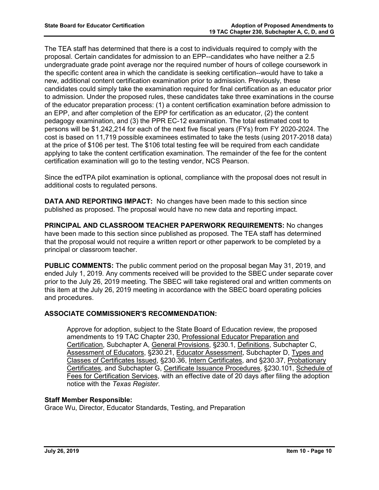The TEA staff has determined that there is a cost to individuals required to comply with the proposal. Certain candidates for admission to an EPP--candidates who have neither a 2.5 undergraduate grade point average nor the required number of hours of college coursework in the specific content area in which the candidate is seeking certification--would have to take a new, additional content certification examination prior to admission. Previously, these candidates could simply take the examination required for final certification as an educator prior to admission. Under the proposed rules, these candidates take three examinations in the course of the educator preparation process: (1) a content certification examination before admission to an EPP, and after completion of the EPP for certification as an educator, (2) the content pedagogy examination, and (3) the PPR EC-12 examination. The total estimated cost to persons will be \$1,242,214 for each of the next five fiscal years (FYs) from FY 2020-2024. The cost is based on 11,719 possible examinees estimated to take the tests (using 2017-2018 data) at the price of \$106 per test. The \$106 total testing fee will be required from each candidate applying to take the content certification examination. The remainder of the fee for the content certification examination will go to the testing vendor, NCS Pearson.

Since the edTPA pilot examination is optional, compliance with the proposal does not result in additional costs to regulated persons.

**DATA AND REPORTING IMPACT:** No changes have been made to this section since published as proposed. The proposal would have no new data and reporting impact.

**PRINCIPAL AND CLASSROOM TEACHER PAPERWORK REQUIREMENTS:** No changes have been made to this section since published as proposed. The TEA staff has determined that the proposal would not require a written report or other paperwork to be completed by a principal or classroom teacher.

**PUBLIC COMMENTS:** The public comment period on the proposal began May 31, 2019, and ended July 1, 2019. Any comments received will be provided to the SBEC under separate cover prior to the July 26, 2019 meeting. The SBEC will take registered oral and written comments on this item at the July 26, 2019 meeting in accordance with the SBEC board operating policies and procedures.

### **ASSOCIATE COMMISSIONER'S RECOMMENDATION:**

Approve for adoption, subject to the State Board of Education review, the proposed amendments to 19 TAC Chapter 230, Professional Educator Preparation and Certification, Subchapter A, General Provisions, §230.1, Definitions, Subchapter C, Assessment of Educators, §230.21, Educator Assessment, Subchapter D, Types and Classes of Certificates Issued, §230.36, Intern Certificates, and §230.37, Probationary Certificates, and Subchapter G, Certificate Issuance Procedures, §230.101, Schedule of Fees for Certification Services, with an effective date of 20 days after filing the adoption notice with the *Texas Register*.

### **Staff Member Responsible:**

Grace Wu, Director, Educator Standards, Testing, and Preparation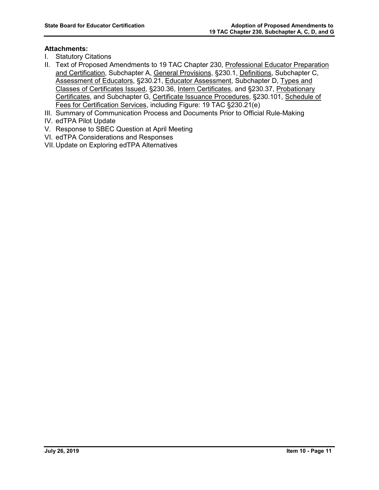# **Attachments:**

- I. Statutory Citations
- II. Text of Proposed Amendments to 19 TAC Chapter 230, Professional Educator Preparation and Certification, Subchapter A, General Provisions, §230.1, Definitions, Subchapter C, Assessment of Educators, §230.21, Educator Assessment, Subchapter D, Types and Classes of Certificates Issued, §230.36, Intern Certificates, and §230.37, Probationary Certificates, and Subchapter G, Certificate Issuance Procedures, §230.101, Schedule of Fees for Certification Services, including Figure: 19 TAC §230.21(e)
- III. Summary of Communication Process and Documents Prior to Official Rule-Making
- IV. edTPA Pilot Update
- V. Response to SBEC Question at April Meeting
- VI. edTPA Considerations and Responses
- VII.Update on Exploring edTPA Alternatives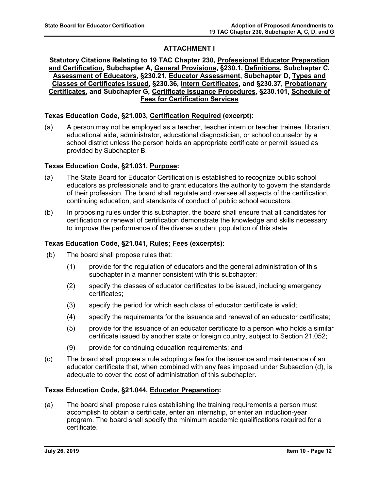# **ATTACHMENT I**

### **Statutory Citations Relating to 19 TAC Chapter 230, Professional Educator Preparation and Certification, Subchapter A, General Provisions, §230.1, Definitions, Subchapter C, Assessment of Educators, §230.21, Educator Assessment, Subchapter D, Types and Classes of Certificates Issued, §230.36, Intern Certificates, and §230.37, Probationary Certificates, and Subchapter G, Certificate Issuance Procedures, §230.101, Schedule of Fees for Certification Services**

### **Texas Education Code, §21.003, Certification Required (excerpt):**

(a) A person may not be employed as a teacher, teacher intern or teacher trainee, librarian, educational aide, administrator, educational diagnostician, or school counselor by a school district unless the person holds an appropriate certificate or permit issued as provided by Subchapter B.

# **Texas Education Code, §21.031, Purpose:**

- (a) The State Board for Educator Certification is established to recognize public school educators as professionals and to grant educators the authority to govern the standards of their profession. The board shall regulate and oversee all aspects of the certification, continuing education, and standards of conduct of public school educators.
- (b) In proposing rules under this subchapter, the board shall ensure that all candidates for certification or renewal of certification demonstrate the knowledge and skills necessary to improve the performance of the diverse student population of this state.

### **Texas Education Code, §21.041, Rules; Fees (excerpts):**

- (b) The board shall propose rules that:
	- (1) provide for the regulation of educators and the general administration of this subchapter in a manner consistent with this subchapter;
	- (2) specify the classes of educator certificates to be issued, including emergency certificates;
	- (3) specify the period for which each class of educator certificate is valid;
	- (4) specify the requirements for the issuance and renewal of an educator certificate;
	- (5) provide for the issuance of an educator certificate to a person who holds a similar certificate issued by another state or foreign country, subject to Section 21.052;
	- (9) provide for continuing education requirements; and
- (c) The board shall propose a rule adopting a fee for the issuance and maintenance of an educator certificate that, when combined with any fees imposed under Subsection (d), is adequate to cover the cost of administration of this subchapter.

### **Texas Education Code, §21.044, Educator Preparation:**

(a) The board shall propose rules establishing the training requirements a person must accomplish to obtain a certificate, enter an internship, or enter an induction-year program. The board shall specify the minimum academic qualifications required for a certificate.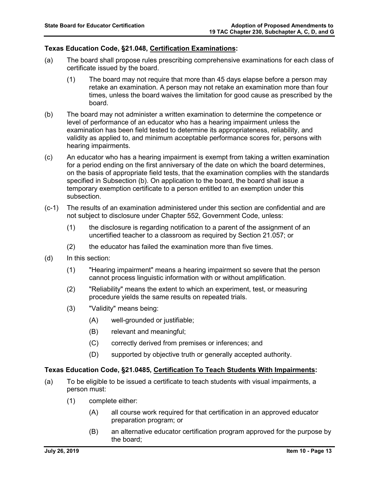### **Texas Education Code, §21.048, Certification Examinations:**

- (a) The board shall propose rules prescribing comprehensive examinations for each class of certificate issued by the board.
	- (1) The board may not require that more than 45 days elapse before a person may retake an examination. A person may not retake an examination more than four times, unless the board waives the limitation for good cause as prescribed by the board.
- (b) The board may not administer a written examination to determine the competence or level of performance of an educator who has a hearing impairment unless the examination has been field tested to determine its appropriateness, reliability, and validity as applied to, and minimum acceptable performance scores for, persons with hearing impairments.
- (c) An educator who has a hearing impairment is exempt from taking a written examination for a period ending on the first anniversary of the date on which the board determines, on the basis of appropriate field tests, that the examination complies with the standards specified in Subsection (b). On application to the board, the board shall issue a temporary exemption certificate to a person entitled to an exemption under this subsection.
- (c-1) The results of an examination administered under this section are confidential and are not subject to disclosure under Chapter 552, Government Code, unless:
	- (1) the disclosure is regarding notification to a parent of the assignment of an uncertified teacher to a classroom as required by Section 21.057; or
	- (2) the educator has failed the examination more than five times.
- (d) In this section:
	- (1) "Hearing impairment" means a hearing impairment so severe that the person cannot process linguistic information with or without amplification.
	- (2) "Reliability" means the extent to which an experiment, test, or measuring procedure yields the same results on repeated trials.
	- (3) "Validity" means being:
		- (A) well-grounded or justifiable;
		- (B) relevant and meaningful;
		- (C) correctly derived from premises or inferences; and
		- (D) supported by objective truth or generally accepted authority.

### **Texas Education Code, §21.0485, Certification To Teach Students With Impairments:**

- (a) To be eligible to be issued a certificate to teach students with visual impairments, a person must:
	- (1) complete either:
		- (A) all course work required for that certification in an approved educator preparation program; or
		- (B) an alternative educator certification program approved for the purpose by the board;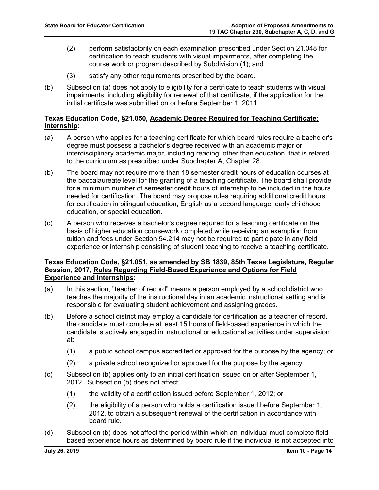- (2) perform satisfactorily on each examination prescribed under Section 21.048 for certification to teach students with visual impairments, after completing the course work or program described by Subdivision (1); and
- (3) satisfy any other requirements prescribed by the board.
- (b) Subsection (a) does not apply to eligibility for a certificate to teach students with visual impairments, including eligibility for renewal of that certificate, if the application for the initial certificate was submitted on or before September 1, 2011.

### **Texas Education Code, §21.050, Academic Degree Required for Teaching Certificate; Internship:**

- (a) A person who applies for a teaching certificate for which board rules require a bachelor's degree must possess a bachelor's degree received with an academic major or interdisciplinary academic major, including reading, other than education, that is related to the curriculum as prescribed under Subchapter A, Chapter 28.
- (b) The board may not require more than 18 semester credit hours of education courses at the baccalaureate level for the granting of a teaching certificate. The board shall provide for a minimum number of semester credit hours of internship to be included in the hours needed for certification. The board may propose rules requiring additional credit hours for certification in bilingual education, English as a second language, early childhood education, or special education.
- (c) A person who receives a bachelor's degree required for a teaching certificate on the basis of higher education coursework completed while receiving an exemption from tuition and fees under Section 54.214 may not be required to participate in any field experience or internship consisting of student teaching to receive a teaching certificate.

### **Texas Education Code, §21.051, as amended by SB 1839, 85th Texas Legislature, Regular Session, 2017, Rules Regarding Field-Based Experience and Options for Field Experience and Internships:**

- (a) In this section, "teacher of record" means a person employed by a school district who teaches the majority of the instructional day in an academic instructional setting and is responsible for evaluating student achievement and assigning grades.
- (b) Before a school district may employ a candidate for certification as a teacher of record, the candidate must complete at least 15 hours of field-based experience in which the candidate is actively engaged in instructional or educational activities under supervision at:
	- (1) a public school campus accredited or approved for the purpose by the agency; or
	- (2) a private school recognized or approved for the purpose by the agency.
- (c) Subsection (b) applies only to an initial certification issued on or after September 1, 2012. Subsection (b) does not affect:
	- (1) the validity of a certification issued before September 1, 2012; or
	- (2) the eligibility of a person who holds a certification issued before September 1, 2012, to obtain a subsequent renewal of the certification in accordance with board rule.
- (d) Subsection (b) does not affect the period within which an individual must complete fieldbased experience hours as determined by board rule if the individual is not accepted into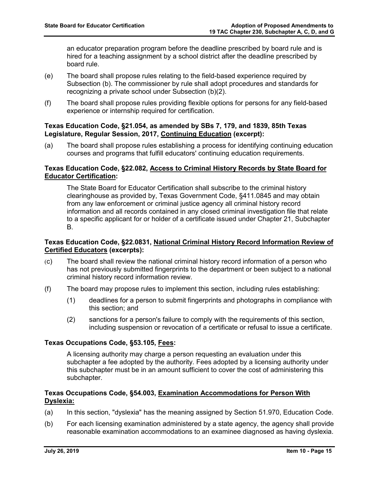an educator preparation program before the deadline prescribed by board rule and is hired for a teaching assignment by a school district after the deadline prescribed by board rule.

- (e) The board shall propose rules relating to the field-based experience required by Subsection (b). The commissioner by rule shall adopt procedures and standards for recognizing a private school under Subsection (b)(2).
- (f) The board shall propose rules providing flexible options for persons for any field-based experience or internship required for certification.

### **Texas Education Code, §21.054, as amended by SBs 7, 179, and 1839, 85th Texas Legislature, Regular Session, 2017, Continuing Education (excerpt):**

(a) The board shall propose rules establishing a process for identifying continuing education courses and programs that fulfill educators' continuing education requirements.

### **Texas Education Code, §22.082, Access to Criminal History Records by State Board for Educator Certification:**

The State Board for Educator Certification shall subscribe to the criminal history clearinghouse as provided by, Texas Government Code, §411.0845 and may obtain from any law enforcement or criminal justice agency all criminal history record information and all records contained in any closed criminal investigation file that relate to a specific applicant for or holder of a certificate issued under Chapter 21, Subchapter B.

### **Texas Education Code, §22.0831, National Criminal History Record Information Review of Certified Educators (excerpts):**

- (c) The board shall review the national criminal history record information of a person who has not previously submitted fingerprints to the department or been subject to a national criminal history record information review.
- (f) The board may propose rules to implement this section, including rules establishing:
	- (1) deadlines for a person to submit fingerprints and photographs in compliance with this section; and
	- (2) sanctions for a person's failure to comply with the requirements of this section, including suspension or revocation of a certificate or refusal to issue a certificate.

### **Texas Occupations Code, §53.105, Fees:**

A licensing authority may charge a person requesting an evaluation under this subchapter a fee adopted by the authority. Fees adopted by a licensing authority under this subchapter must be in an amount sufficient to cover the cost of administering this subchapter.

### **Texas Occupations Code, §54.003, Examination Accommodations for Person With Dyslexia:**

- (a) In this section, "dyslexia" has the meaning assigned by Section 51.970, Education Code.
- (b) For each licensing examination administered by a state agency, the agency shall provide reasonable examination accommodations to an examinee diagnosed as having dyslexia.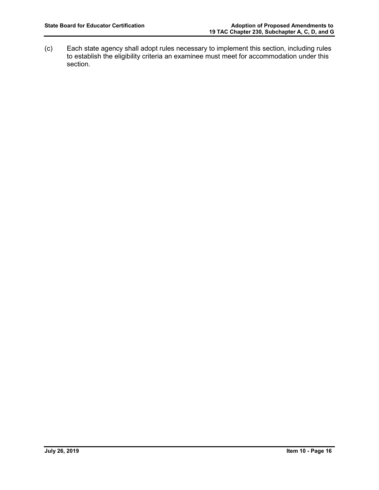(c) Each state agency shall adopt rules necessary to implement this section, including rules to establish the eligibility criteria an examinee must meet for accommodation under this section.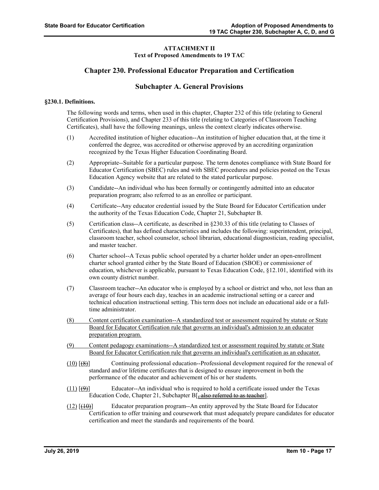#### **ATTACHMENT II Text of Proposed Amendments to 19 TAC**

### **Chapter 230. Professional Educator Preparation and Certification**

### **Subchapter A. General Provisions**

#### **§230.1. Definitions.**

The following words and terms, when used in this chapter, Chapter 232 of this title (relating to General Certification Provisions), and Chapter 233 of this title (relating to Categories of Classroom Teaching Certificates), shall have the following meanings, unless the context clearly indicates otherwise.

- (1) Accredited institution of higher education--An institution of higher education that, at the time it conferred the degree, was accredited or otherwise approved by an accrediting organization recognized by the Texas Higher Education Coordinating Board.
- (2) Appropriate--Suitable for a particular purpose. The term denotes compliance with State Board for Educator Certification (SBEC) rules and with SBEC procedures and policies posted on the Texas Education Agency website that are related to the stated particular purpose.
- (3) Candidate--An individual who has been formally or contingently admitted into an educator preparation program; also referred to as an enrollee or participant.
- (4) Certificate--Any educator credential issued by the State Board for Educator Certification under the authority of the Texas Education Code, Chapter 21, Subchapter B.
- (5) Certification class--A certificate, as described in §230.33 of this title (relating to Classes of Certificates), that has defined characteristics and includes the following: superintendent, principal, classroom teacher, school counselor, school librarian, educational diagnostician, reading specialist, and master teacher.
- (6) Charter school--A Texas public school operated by a charter holder under an open-enrollment charter school granted either by the State Board of Education (SBOE) or commissioner of education, whichever is applicable, pursuant to Texas Education Code, §12.101, identified with its own county district number.
- (7) Classroom teacher--An educator who is employed by a school or district and who, not less than an average of four hours each day, teaches in an academic instructional setting or a career and technical education instructional setting. This term does not include an educational aide or a fulltime administrator.
- (8) Content certification examination--A standardized test or assessment required by statute or State Board for Educator Certification rule that governs an individual's admission to an educator preparation program.
- (9) Content pedagogy examinations--A standardized test or assessment required by statute or State Board for Educator Certification rule that governs an individual's certification as an educator.
- (10) [(8)] Continuing professional education--Professional development required for the renewal of standard and/or lifetime certificates that is designed to ensure improvement in both the performance of the educator and achievement of his or her students.
- $(11)$   $(\frac{99}{2})$  Educator--An individual who is required to hold a certificate issued under the Texas Education Code, Chapter 21, Subchapter B[ $\frac{1}{2}$  also referred to as teacher].
- $(12)$   $[\frac{(10)}{(10)}]$  Educator preparation program--An entity approved by the State Board for Educator Certification to offer training and coursework that must adequately prepare candidates for educator certification and meet the standards and requirements of the board.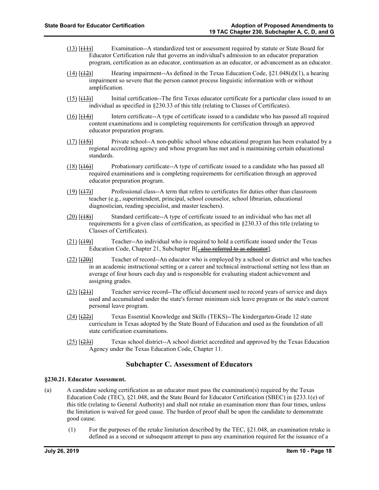- (13) [(11)] Examination--A standardized test or assessment required by statute or State Board for Educator Certification rule that governs an individual's admission to an educator preparation program, certification as an educator, continuation as an educator, or advancement as an educator.
- $(14)$  [ $(12)$ ] Hearing impairment--As defined in the Texas Education Code,  $\S$ 21.048(d)(1), a hearing impairment so severe that the person cannot process linguistic information with or without amplification.
- (15) [(13)] Initial certification--The first Texas educator certificate for a particular class issued to an individual as specified in §230.33 of this title (relating to Classes of Certificates).
- (16) [(14)] Intern certificate--A type of certificate issued to a candidate who has passed all required content examinations and is completing requirements for certification through an approved educator preparation program.
- $(17)$   $[\frac{(15)}{(15)}]$  Private school--A non-public school whose educational program has been evaluated by a regional accrediting agency and whose program has met and is maintaining certain educational standards.
- $(18)$  [ $(16)$ ] Probationary certificate--A type of certificate issued to a candidate who has passed all required examinations and is completing requirements for certification through an approved educator preparation program.
- $(19)$   $(17)$  Professional class--A term that refers to certificates for duties other than classroom teacher (e.g., superintendent, principal, school counselor, school librarian, educational diagnostician, reading specialist, and master teachers).
- $(20)$   $[\frac{(18)}{(18)}]$  Standard certificate--A type of certificate issued to an individual who has met all requirements for a given class of certification, as specified in §230.33 of this title (relating to Classes of Certificates).
- $(21)$  [ $(19)$ ] Teacher--An individual who is required to hold a certificate issued under the Texas Education Code, Chapter 21, Subchapter B<sup>[</sup><sub>7</sub> also referred to as educator].
- $(22)$   $[\frac{(20)}{]}$  Teacher of record--An educator who is employed by a school or district and who teaches in an academic instructional setting or a career and technical instructional setting not less than an average of four hours each day and is responsible for evaluating student achievement and assigning grades.
- $(23)$  [ $(21)$ ] Teacher service record--The official document used to record years of service and days used and accumulated under the state's former minimum sick leave program or the state's current personal leave program.
- $(24)$   $\left[\frac{(22)}{(22)}\right]$  Texas Essential Knowledge and Skills (TEKS)--The kindergarten-Grade 12 state curriculum in Texas adopted by the State Board of Education and used as the foundation of all state certification examinations.
- $(25)$   $\left[\frac{(23)}{(23)}\right]$  Texas school district--A school district accredited and approved by the Texas Education Agency under the Texas Education Code, Chapter 11.

### **Subchapter C. Assessment of Educators**

#### **§230.21. Educator Assessment.**

- (a) A candidate seeking certification as an educator must pass the examination(s) required by the Texas Education Code (TEC), §21.048, and the State Board for Educator Certification (SBEC) in §233.1(e) of this title (relating to General Authority) and shall not retake an examination more than four times, unless the limitation is waived for good cause. The burden of proof shall be upon the candidate to demonstrate good cause.
	- (1) For the purposes of the retake limitation described by the TEC, §21.048, an examination retake is defined as a second or subsequent attempt to pass any examination required for the issuance of a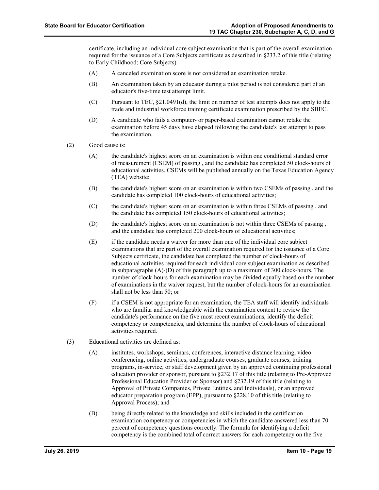certificate, including an individual core subject examination that is part of the overall examination required for the issuance of a Core Subjects certificate as described in §233.2 of this title (relating to Early Childhood; Core Subjects).

- (A) A canceled examination score is not considered an examination retake.
- (B) An examination taken by an educator during a pilot period is not considered part of an educator's five-time test attempt limit.
- (C) Pursuant to TEC, §21.0491(d), the limit on number of test attempts does not apply to the trade and industrial workforce training certificate examination prescribed by the SBEC.
- (D) A candidate who fails a computer- or paper-based examination cannot retake the examination before 45 days have elapsed following the candidate's last attempt to pass the examination.
- (2) Good cause is:
	- (A) the candidate's highest score on an examination is within one conditional standard error of measurement (CSEM) of passing , and the candidate has completed 50 clock-hours of educational activities. CSEMs will be published annually on the Texas Education Agency (TEA) website;
	- (B) the candidate's highest score on an examination is within two CSEMs of passing , and the candidate has completed 100 clock-hours of educational activities;
	- (C) the candidate's highest score on an examination is within three CSEMs of passing , and the candidate has completed 150 clock-hours of educational activities;
	- (D) the candidate's highest score on an examination is not within three CSEMs of passing , and the candidate has completed 200 clock-hours of educational activities;
	- (E) if the candidate needs a waiver for more than one of the individual core subject examinations that are part of the overall examination required for the issuance of a Core Subjects certificate, the candidate has completed the number of clock-hours of educational activities required for each individual core subject examination as described in subparagraphs (A)-(D) of this paragraph up to a maximum of 300 clock-hours. The number of clock-hours for each examination may be divided equally based on the number of examinations in the waiver request, but the number of clock-hours for an examination shall not be less than 50; or
	- (F) if a CSEM is not appropriate for an examination, the TEA staff will identify individuals who are familiar and knowledgeable with the examination content to review the candidate's performance on the five most recent examinations, identify the deficit competency or competencies, and determine the number of clock-hours of educational activities required.
- (3) Educational activities are defined as:
	- (A) institutes, workshops, seminars, conferences, interactive distance learning, video conferencing, online activities, undergraduate courses, graduate courses, training programs, in-service, or staff development given by an approved continuing professional education provider or sponsor, pursuant to §232.17 of this title (relating to Pre-Approved Professional Education Provider or Sponsor) and §232.19 of this title (relating to Approval of Private Companies, Private Entities, and Individuals), or an approved educator preparation program (EPP), pursuant to §228.10 of this title (relating to Approval Process); and
	- (B) being directly related to the knowledge and skills included in the certification examination competency or competencies in which the candidate answered less than 70 percent of competency questions correctly. The formula for identifying a deficit competency is the combined total of correct answers for each competency on the five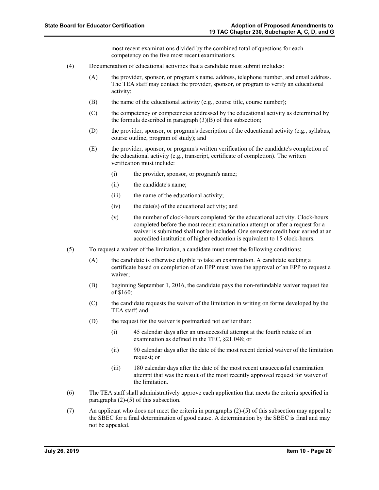most recent examinations divided by the combined total of questions for each competency on the five most recent examinations.

- (4) Documentation of educational activities that a candidate must submit includes:
	- (A) the provider, sponsor, or program's name, address, telephone number, and email address. The TEA staff may contact the provider, sponsor, or program to verify an educational activity;
	- (B) the name of the educational activity (e.g., course title, course number);
	- (C) the competency or competencies addressed by the educational activity as determined by the formula described in paragraph  $(3)(B)$  of this subsection;
	- (D) the provider, sponsor, or program's description of the educational activity (e.g., syllabus, course outline, program of study); and
	- (E) the provider, sponsor, or program's written verification of the candidate's completion of the educational activity (e.g., transcript, certificate of completion). The written verification must include:
		- (i) the provider, sponsor, or program's name;
		- (ii) the candidate's name;
		- (iii) the name of the educational activity;
		- $(iv)$  the date(s) of the educational activity; and
		- (v) the number of clock-hours completed for the educational activity. Clock-hours completed before the most recent examination attempt or after a request for a waiver is submitted shall not be included. One semester credit hour earned at an accredited institution of higher education is equivalent to 15 clock-hours.
- (5) To request a waiver of the limitation, a candidate must meet the following conditions:
	- (A) the candidate is otherwise eligible to take an examination. A candidate seeking a certificate based on completion of an EPP must have the approval of an EPP to request a waiver;
	- (B) beginning September 1, 2016, the candidate pays the non-refundable waiver request fee of \$160;
	- (C) the candidate requests the waiver of the limitation in writing on forms developed by the TEA staff; and
	- (D) the request for the waiver is postmarked not earlier than:
		- (i) 45 calendar days after an unsuccessful attempt at the fourth retake of an examination as defined in the TEC, §21.048; or
		- (ii) 90 calendar days after the date of the most recent denied waiver of the limitation request; or
		- (iii) 180 calendar days after the date of the most recent unsuccessful examination attempt that was the result of the most recently approved request for waiver of the limitation.
- (6) The TEA staff shall administratively approve each application that meets the criteria specified in paragraphs (2)-(5) of this subsection.
- (7) An applicant who does not meet the criteria in paragraphs (2)-(5) of this subsection may appeal to the SBEC for a final determination of good cause. A determination by the SBEC is final and may not be appealed.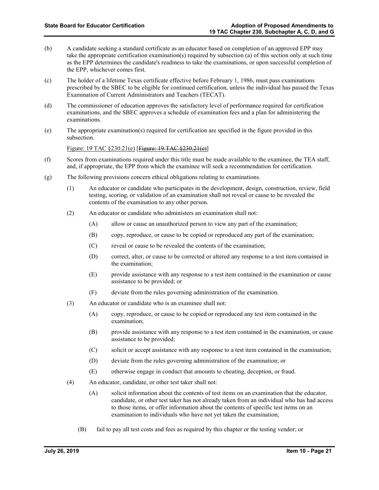- (b) A candidate seeking a standard certificate as an educator based on completion of an approved EPP may take the appropriate certification examination(s) required by subsection (a) of this section only at such time as the EPP determines the candidate's readiness to take the examinations, or upon successful completion of the EPP, whichever comes first.
- (c) The holder of a lifetime Texas certificate effective before February 1, 1986, must pass examinations prescribed by the SBEC to be eligible for continued certification, unless the individual has passed the Texas Examination of Current Administrators and Teachers (TECAT).
- (d) The commissioner of education approves the satisfactory level of performance required for certification examinations, and the SBEC approves a schedule of examination fees and a plan for administering the examinations.
- (e) The appropriate examination(s) required for certification are specified in the figure provided in this subsection.

#### Figure: 19 TAC  $$230.21(e)$  [Figure: 19 TAC  $$230.21(e)$ ]

- (f) Scores from examinations required under this title must be made available to the examinee, the TEA staff, and, if appropriate, the EPP from which the examinee will seek a recommendation for certification.
- (g) The following provisions concern ethical obligations relating to examinations.
	- (1) An educator or candidate who participates in the development, design, construction, review, field testing, scoring, or validation of an examination shall not reveal or cause to be revealed the contents of the examination to any other person.
	- (2) An educator or candidate who administers an examination shall not:
		- (A) allow or cause an unauthorized person to view any part of the examination;
		- (B) copy, reproduce, or cause to be copied or reproduced any part of the examination;
		- (C) reveal or cause to be revealed the contents of the examination;
		- (D) correct, alter, or cause to be corrected or altered any response to a test item contained in the examination;
		- (E) provide assistance with any response to a test item contained in the examination or cause assistance to be provided; or
		- (F) deviate from the rules governing administration of the examination.
	- (3) An educator or candidate who is an examinee shall not:
		- (A) copy, reproduce, or cause to be copied or reproduced any test item contained in the examination;
		- (B) provide assistance with any response to a test item contained in the examination, or cause assistance to be provided;
		- (C) solicit or accept assistance with any response to a test item contained in the examination;
		- (D) deviate from the rules governing administration of the examination; or
		- (E) otherwise engage in conduct that amounts to cheating, deception, or fraud.
	- (4) An educator, candidate, or other test taker shall not:
		- (A) solicit information about the contents of test items on an examination that the educator, candidate, or other test taker has not already taken from an individual who has had access to those items, or offer information about the contents of specific test items on an examination to individuals who have not yet taken the examination;
		- (B) fail to pay all test costs and fees as required by this chapter or the testing vendor; or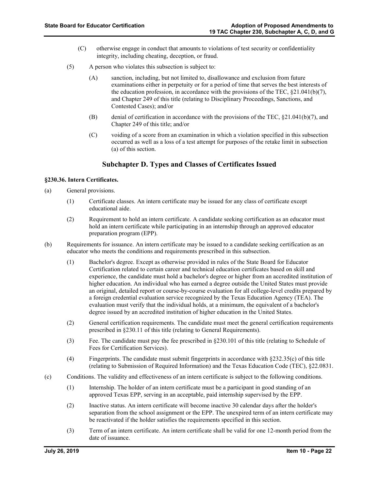- (C) otherwise engage in conduct that amounts to violations of test security or confidentiality integrity, including cheating, deception, or fraud.
- (5) A person who violates this subsection is subject to:
	- (A) sanction, including, but not limited to, disallowance and exclusion from future examinations either in perpetuity or for a period of time that serves the best interests of the education profession, in accordance with the provisions of the TEC,  $\S21.041(b)(7)$ , and Chapter 249 of this title (relating to Disciplinary Proceedings, Sanctions, and Contested Cases); and/or
	- (B) denial of certification in accordance with the provisions of the TEC, §21.041(b)(7), and Chapter 249 of this title; and/or
	- (C) voiding of a score from an examination in which a violation specified in this subsection occurred as well as a loss of a test attempt for purposes of the retake limit in subsection (a) of this section.

### **Subchapter D. Types and Classes of Certificates Issued**

#### **§230.36. Intern Certificates.**

- (a) General provisions.
	- (1) Certificate classes. An intern certificate may be issued for any class of certificate except educational aide.
	- (2) Requirement to hold an intern certificate. A candidate seeking certification as an educator must hold an intern certificate while participating in an internship through an approved educator preparation program (EPP).
- (b) Requirements for issuance. An intern certificate may be issued to a candidate seeking certification as an educator who meets the conditions and requirements prescribed in this subsection.
	- (1) Bachelor's degree. Except as otherwise provided in rules of the State Board for Educator Certification related to certain career and technical education certificates based on skill and experience, the candidate must hold a bachelor's degree or higher from an accredited institution of higher education. An individual who has earned a degree outside the United States must provide an original, detailed report or course-by-course evaluation for all college-level credits prepared by a foreign credential evaluation service recognized by the Texas Education Agency (TEA). The evaluation must verify that the individual holds, at a minimum, the equivalent of a bachelor's degree issued by an accredited institution of higher education in the United States.
	- (2) General certification requirements. The candidate must meet the general certification requirements prescribed in §230.11 of this title (relating to General Requirements).
	- (3) Fee. The candidate must pay the fee prescribed in §230.101 of this title (relating to Schedule of Fees for Certification Services).
	- (4) Fingerprints. The candidate must submit fingerprints in accordance with §232.35(c) of this title (relating to Submission of Required Information) and the Texas Education Code (TEC), §22.0831.
- (c) Conditions. The validity and effectiveness of an intern certificate is subject to the following conditions.
	- (1) Internship. The holder of an intern certificate must be a participant in good standing of an approved Texas EPP, serving in an acceptable, paid internship supervised by the EPP.
	- (2) Inactive status. An intern certificate will become inactive 30 calendar days after the holder's separation from the school assignment or the EPP. The unexpired term of an intern certificate may be reactivated if the holder satisfies the requirements specified in this section.
	- (3) Term of an intern certificate. An intern certificate shall be valid for one 12-month period from the date of issuance.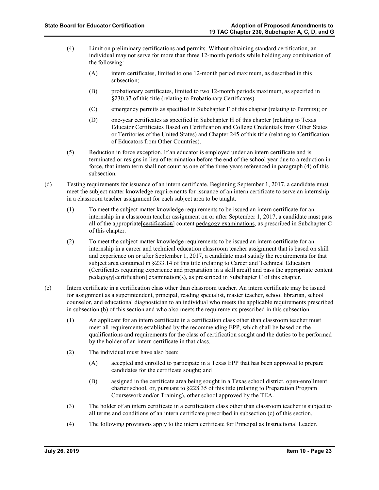- (4) Limit on preliminary certifications and permits. Without obtaining standard certification, an individual may not serve for more than three 12-month periods while holding any combination of the following:
	- (A) intern certificates, limited to one 12-month period maximum, as described in this subsection;
	- (B) probationary certificates, limited to two 12-month periods maximum, as specified in §230.37 of this title (relating to Probationary Certificates)
	- (C) emergency permits as specified in Subchapter F of this chapter (relating to Permits); or
	- (D) one-year certificates as specified in Subchapter H of this chapter (relating to Texas Educator Certificates Based on Certification and College Credentials from Other States or Territories of the United States) and Chapter 245 of this title (relating to Certification of Educators from Other Countries).
- (5) Reduction in force exception. If an educator is employed under an intern certificate and is terminated or resigns in lieu of termination before the end of the school year due to a reduction in force, that intern term shall not count as one of the three years referenced in paragraph (4) of this subsection.
- (d) Testing requirements for issuance of an intern certificate. Beginning September 1, 2017, a candidate must meet the subject matter knowledge requirements for issuance of an intern certificate to serve an internship in a classroom teacher assignment for each subject area to be taught.
	- (1) To meet the subject matter knowledge requirements to be issued an intern certificate for an internship in a classroom teacher assignment on or after September 1, 2017, a candidate must pass all of the appropriate [extinuation] content pedagogy examinations, as prescribed in Subchapter C of this chapter.
	- (2) To meet the subject matter knowledge requirements to be issued an intern certificate for an internship in a career and technical education classroom teacher assignment that is based on skill and experience on or after September 1, 2017, a candidate must satisfy the requirements for that subject area contained in §233.14 of this title (relating to Career and Technical Education (Certificates requiring experience and preparation in a skill area)) and pass the appropriate content  $pedagogy[*certification*] examination(s), as prescribed in Subchapter C of this chapter.$
- (e) Intern certificate in a certification class other than classroom teacher. An intern certificate may be issued for assignment as a superintendent, principal, reading specialist, master teacher, school librarian, school counselor, and educational diagnostician to an individual who meets the applicable requirements prescribed in subsection (b) of this section and who also meets the requirements prescribed in this subsection.
	- (1) An applicant for an intern certificate in a certification class other than classroom teacher must meet all requirements established by the recommending EPP, which shall be based on the qualifications and requirements for the class of certification sought and the duties to be performed by the holder of an intern certificate in that class.
	- (2) The individual must have also been:
		- (A) accepted and enrolled to participate in a Texas EPP that has been approved to prepare candidates for the certificate sought; and
		- (B) assigned in the certificate area being sought in a Texas school district, open-enrollment charter school, or, pursuant to §228.35 of this title (relating to Preparation Program Coursework and/or Training), other school approved by the TEA.
	- (3) The holder of an intern certificate in a certification class other than classroom teacher is subject to all terms and conditions of an intern certificate prescribed in subsection (c) of this section.
	- (4) The following provisions apply to the intern certificate for Principal as Instructional Leader.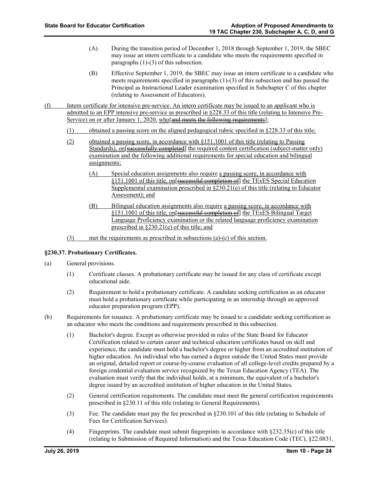- (A) During the transition period of December 1, 2018 through September 1, 2019, the SBEC may issue an intern certificate to a candidate who meets the requirements specified in paragraphs (1)-(3) of this subsection.
- (B) Effective September 1, 2019, the SBEC may issue an intern certificate to a candidate who meets requirements specified in paragraphs (1)-(3) of this subsection and has passed the Principal as Instructional Leader examination specified in Subchapter C of this chapter (relating to Assessment of Educators).
- (f) Intern certificate for intensive pre-service. An intern certificate may be issued to an applicant who is admitted to an EPP intensive pre-service as prescribed in §228.33 of this title (relating to Intensive Pre-Service) on or after January 1, 2020, who and meets the following requirements]:
	- (1) obtained a passing score on the aligned pedagogical rubric specified in §228.33 of this title;
	- (2) obtained a passing score, in accordance with §151.1001 of this title (relating to Passing Standards), on successfully completed the required content certification (subject-matter only) examination and the following additional requirements for special education and bilingual assignments;
		- (A) Special education assignments also require a passing score, in accordance with §151.1001 of this title, on successful completion of the TExES Special Education Supplemental examination prescribed in §230.21(e) of this title (relating to Educator Assessment); and
		- (B) Bilingual education assignments also require a passing score, in accordance with §151.1001 of this title, on successful completion of the TExES Bilingual Target Language Proficiency examination or the related language proficiency examination prescribed in §230.21(e) of this title; and
	- (3) met the requirements as prescribed in subsections (a)-(c) of this section.

#### **§230.37. Probationary Certificates.**

- (a) General provisions.
	- (1) Certificate classes. A probationary certificate may be issued for any class of certificate except educational aide.
	- (2) Requirement to hold a probationary certificate. A candidate seeking certification as an educator must hold a probationary certificate while participating in an internship through an approved educator preparation program (EPP).
- (b) Requirements for issuance. A probationary certificate may be issued to a candidate seeking certification as an educator who meets the conditions and requirements prescribed in this subsection.
	- (1) Bachelor's degree. Except as otherwise provided in rules of the State Board for Educator Certification related to certain career and technical education certificates based on skill and experience, the candidate must hold a bachelor's degree or higher from an accredited institution of higher education. An individual who has earned a degree outside the United States must provide an original, detailed report or course-by-course evaluation of all college-level credits prepared by a foreign credential evaluation service recognized by the Texas Education Agency (TEA). The evaluation must verify that the individual holds, at a minimum, the equivalent of a bachelor's degree issued by an accredited institution of higher education in the United States.
	- (2) General certification requirements. The candidate must meet the general certification requirements prescribed in §230.11 of this title (relating to General Requirements).
	- (3) Fee. The candidate must pay the fee prescribed in §230.101 of this title (relating to Schedule of Fees for Certification Services).
	- (4) Fingerprints. The candidate must submit fingerprints in accordance with §232.35(c) of this title (relating to Submission of Required Information) and the Texas Education Code (TEC), §22.0831.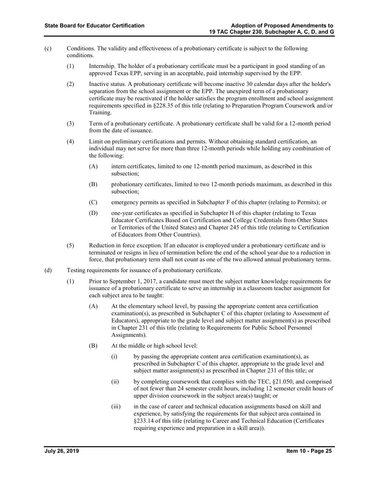- (c) Conditions. The validity and effectiveness of a probationary certificate is subject to the following conditions.
	- (1) Internship. The holder of a probationary certificate must be a participant in good standing of an approved Texas EPP, serving in an acceptable, paid internship supervised by the EPP.
	- (2) Inactive status. A probationary certificate will become inactive 30 calendar days after the holder's separation from the school assignment or the EPP. The unexpired term of a probationary certificate may be reactivated if the holder satisfies the program enrollment and school assignment requirements specified in §228.35 of this title (relating to Preparation Program Coursework and/or Training.
	- (3) Term of a probationary certificate. A probationary certificate shall be valid for a 12-month period from the date of issuance.
	- (4) Limit on preliminary certifications and permits. Without obtaining standard certification, an individual may not serve for more than three 12-month periods while holding any combination of the following:
		- (A) intern certificates, limited to one 12-month period maximum, as described in this subsection;
		- (B) probationary certificates, limited to two 12-month periods maximum, as described in this subsection;
		- (C) emergency permits as specified in Subchapter F of this chapter (relating to Permits); or
		- (D) one-year certificates as specified in Subchapter H of this chapter (relating to Texas Educator Certificates Based on Certification and College Credentials from Other States or Territories of the United States) and Chapter 245 of this title (relating to Certification of Educators from Other Countries).
	- (5) Reduction in force exception. If an educator is employed under a probationary certificate and is terminated or resigns in lieu of termination before the end of the school year due to a reduction in force, that probationary term shall not count as one of the two allowed annual probationary terms.
- (d) Testing requirements for issuance of a probationary certificate.
	- (1) Prior to September 1, 2017, a candidate must meet the subject matter knowledge requirements for issuance of a probationary certificate to serve an internship in a classroom teacher assignment for each subject area to be taught:
		- (A) At the elementary school level, by passing the appropriate content area certification examination(s), as prescribed in Subchapter C of this chapter (relating to Assessment of Educators), appropriate to the grade level and subject matter assignment(s) as prescribed in Chapter 231 of this title (relating to Requirements for Public School Personnel Assignments).
		- (B) At the middle or high school level:
			- (i) by passing the appropriate content area certification examination(s), as prescribed in Subchapter C of this chapter, appropriate to the grade level and subject matter assignment(s) as prescribed in Chapter 231 of this title; or
			- (ii) by completing coursework that complies with the TEC, §21.050, and comprised of not fewer than 24 semester credit hours, including 12 semester credit hours of upper division coursework in the subject area(s) taught; or
			- (iii) in the case of career and technical education assignments based on skill and experience, by satisfying the requirements for that subject area contained in §233.14 of this title (relating to Career and Technical Education (Certificates requiring experience and preparation in a skill area)).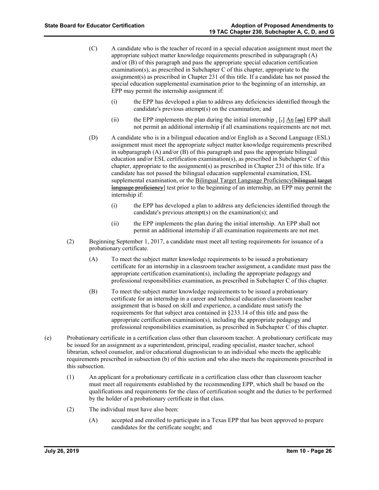- (C) A candidate who is the teacher of record in a special education assignment must meet the appropriate subject matter knowledge requirements prescribed in subparagraph  $(A)$ and/or (B) of this paragraph and pass the appropriate special education certification examination(s), as prescribed in Subchapter C of this chapter, appropriate to the assignment(s) as prescribed in Chapter 231 of this title. If a candidate has not passed the special education supplemental examination prior to the beginning of an internship, an EPP may permit the internship assignment if:
	- (i) the EPP has developed a plan to address any deficiencies identified through the candidate's previous attempt(s) on the examination; and
	- (ii) the EPP implements the plan during the initial internship  $\frac{1}{2}$  [,] An [an] EPP shall not permit an additional internship if all examinations requirements are not met.
- (D) A candidate who is in a bilingual education and/or English as a Second Language (ESL) assignment must meet the appropriate subject matter knowledge requirements prescribed in subparagraph (A) and/or (B) of this paragraph and pass the appropriate bilingual education and/or ESL certification examination(s), as prescribed in Subchapter C of this chapter, appropriate to the assignment(s) as prescribed in Chapter 231 of this title. If a candidate has not passed the bilingual education supplemental examination, ESL supplemental examination, or the Bilingual Target Language Proficiency[bilingual target language proficiency] test prior to the beginning of an internship, an EPP may permit the internship if:
	- (i) the EPP has developed a plan to address any deficiencies identified through the candidate's previous attempt(s) on the examination(s); and
	- (ii) the EPP implements the plan during the initial internship. An EPP shall not permit an additional internship if all examination requirements are not met.
- (2) Beginning September 1, 2017, a candidate must meet all testing requirements for issuance of a probationary certificate.
	- (A) To meet the subject matter knowledge requirements to be issued a probationary certificate for an internship in a classroom teacher assignment, a candidate must pass the appropriate certification examination(s), including the appropriate pedagogy and professional responsibilities examination, as prescribed in Subchapter C of this chapter.
	- (B) To meet the subject matter knowledge requirements to be issued a probationary certificate for an internship in a career and technical education classroom teacher assignment that is based on skill and experience, a candidate must satisfy the requirements for that subject area contained in §233.14 of this title and pass the appropriate certification examination(s), including the appropriate pedagogy and professional responsibilities examination, as prescribed in Subchapter C of this chapter.
- (e) Probationary certificate in a certification class other than classroom teacher. A probationary certificate may be issued for an assignment as a superintendent, principal, reading specialist, master teacher, school librarian, school counselor, and/or educational diagnostician to an individual who meets the applicable requirements prescribed in subsection (b) of this section and who also meets the requirements prescribed in this subsection.
	- (1) An applicant for a probationary certificate in a certification class other than classroom teacher must meet all requirements established by the recommending EPP, which shall be based on the qualifications and requirements for the class of certification sought and the duties to be performed by the holder of a probationary certificate in that class.
	- (2) The individual must have also been:
		- (A) accepted and enrolled to participate in a Texas EPP that has been approved to prepare candidates for the certificate sought; and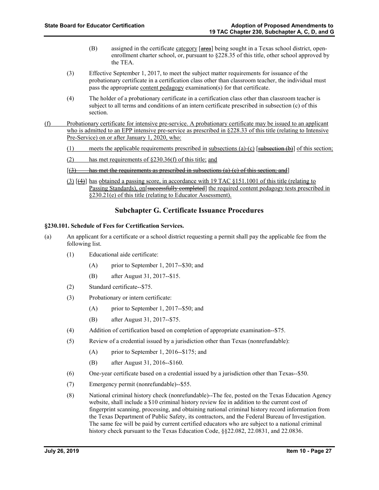- (B) assigned in the certificate category  $[area]$  being sought in a Texas school district, openenrollment charter school, or, pursuant to §228.35 of this title, other school approved by the TEA.
- (3) Effective September 1, 2017, to meet the subject matter requirements for issuance of the probationary certificate in a certification class other than classroom teacher, the individual must pass the appropriate content pedagogy examination(s) for that certificate.
- (4) The holder of a probationary certificate in a certification class other than classroom teacher is subject to all terms and conditions of an intern certificate prescribed in subsection (c) of this section.
- (f) Probationary certificate for intensive pre-service. A probationary certificate may be issued to an applicant who is admitted to an EPP intensive pre-service as prescribed in §228.33 of this title (relating to Intensive Pre-Service) on or after January 1, 2020, who:
	- (1) meets the applicable requirements prescribed in subsections (a)-(c) [subsection  $(b)$ ] of this section;
	- (2) has met requirements of §230.36(f) of this title; and
	- $[3]$  has met the requirements as prescribed in subsections (a) (c) of this section; and]
	- (3) [(4)] has obtained a passing score, in accordance with 19 TAC §151.1001 of this title (relating to Passing Standards), on successfully completed the required content pedagogy tests prescribed in §230.21(e) of this title (relating to Educator Assessment).

### **Subchapter G. Certificate Issuance Procedures**

#### **§230.101. Schedule of Fees for Certification Services.**

- (a) An applicant for a certificate or a school district requesting a permit shall pay the applicable fee from the following list.
	- (1) Educational aide certificate:
		- (A) prior to September 1, 2017--\$30; and
		- (B) after August 31, 2017--\$15.
	- (2) Standard certificate--\$75.
	- (3) Probationary or intern certificate:
		- (A) prior to September 1, 2017--\$50; and
		- (B) after August 31, 2017--\$75.
	- (4) Addition of certification based on completion of appropriate examination--\$75.
	- (5) Review of a credential issued by a jurisdiction other than Texas (nonrefundable):
		- (A) prior to September 1, 2016--\$175; and
		- (B) after August 31, 2016--\$160.
	- (6) One-year certificate based on a credential issued by a jurisdiction other than Texas--\$50.
	- (7) Emergency permit (nonrefundable)--\$55.
	- (8) National criminal history check (nonrefundable)--The fee, posted on the Texas Education Agency website, shall include a \$10 criminal history review fee in addition to the current cost of fingerprint scanning, processing, and obtaining national criminal history record information from the Texas Department of Public Safety, its contractors, and the Federal Bureau of Investigation. The same fee will be paid by current certified educators who are subject to a national criminal history check pursuant to the Texas Education Code, §§22.082, 22.0831, and 22.0836.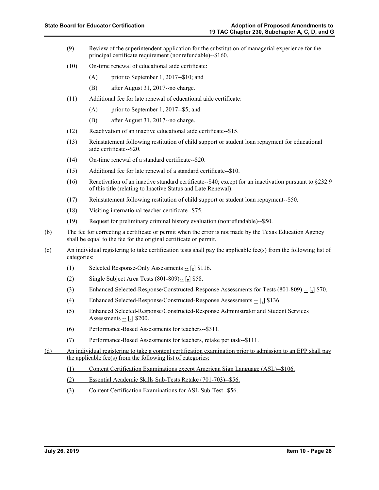- (9) Review of the superintendent application for the substitution of managerial experience for the principal certificate requirement (nonrefundable)--\$160.
- (10) On-time renewal of educational aide certificate:
	- (A) prior to September 1, 2017--\$10; and
	- (B) after August 31, 2017--no charge.
- (11) Additional fee for late renewal of educational aide certificate:
	- (A) prior to September 1, 2017--\$5; and
	- (B) after August 31, 2017--no charge.
- (12) Reactivation of an inactive educational aide certificate--\$15.
- (13) Reinstatement following restitution of child support or student loan repayment for educational aide certificate--\$20.
- (14) On-time renewal of a standard certificate--\$20.
- (15) Additional fee for late renewal of a standard certificate--\$10.
- (16) Reactivation of an inactive standard certificate--\$40; except for an inactivation pursuant to §232.9 of this title (relating to Inactive Status and Late Renewal).
- (17) Reinstatement following restitution of child support or student loan repayment--\$50.
- (18) Visiting international teacher certificate--\$75.
- (19) Request for preliminary criminal history evaluation (nonrefundable)--\$50.
- (b) The fee for correcting a certificate or permit when the error is not made by the Texas Education Agency shall be equal to the fee for the original certificate or permit.
- (c) An individual registering to take certification tests shall pay the applicable fee(s) from the following list of categories:
	- (1) Selected Response-Only Assessments  $\frac{1}{2}$  [, ] \$116.
	- (2) Single Subject Area Tests  $(801-809)$ -- [<sub>5</sub>] \$58.
	- (3) Enhanced Selected-Response/Constructed-Response Assessments for Tests  $(801-809) [\frac{1}{2}]$  \$70.
	- (4) Enhanced Selected-Response/Constructed-Response Assessments  $\frac{1}{2}$  [1] \$136.
	- (5) Enhanced Selected-Response/Constructed-Response Administrator and Student Services Assessments  $\frac{1}{2}$  [ $\frac{1}{2}$ ] \$200.
	- (6) Performance-Based Assessments for teachers--\$311.
	- (7) Performance-Based Assessments for teachers, retake per task--\$111.
- (d) An individual registering to take a content certification examination prior to admission to an EPP shall pay the applicable fee(s) from the following list of categories:
	- (1) Content Certification Examinations except American Sign Language (ASL)--\$106.
	- (2) Essential Academic Skills Sub-Tests Retake (701-703)--\$56.
	- (3) Content Certification Examinations for ASL Sub-Test--\$56.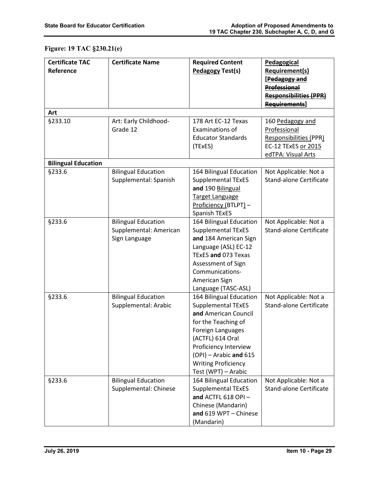# **Figure: 19 TAC §230.21(e)**

| <b>Certificate TAC</b><br>Reference | <b>Certificate Name</b>                                               | <b>Required Content</b><br><b>Pedagogy Test(s)</b>                                                                                                                                                                                                   | Pedagogical<br>Requirement(s)<br>[Pedagogy and<br><b>Professional</b><br><b>Responsibilities (PPR)</b><br><b>Requirements</b> |
|-------------------------------------|-----------------------------------------------------------------------|------------------------------------------------------------------------------------------------------------------------------------------------------------------------------------------------------------------------------------------------------|-------------------------------------------------------------------------------------------------------------------------------|
| Art                                 |                                                                       |                                                                                                                                                                                                                                                      |                                                                                                                               |
| §233.10                             | Art: Early Childhood-<br>Grade 12                                     | 178 Art EC-12 Texas<br>Examinations of<br><b>Educator Standards</b><br>(TExES)                                                                                                                                                                       | 160 Pedagogy and<br>Professional<br><b>Responsibilities (PPR)</b><br>EC-12 TExES or 2015<br>edTPA: Visual Arts                |
| <b>Bilingual Education</b>          |                                                                       |                                                                                                                                                                                                                                                      |                                                                                                                               |
| §233.6                              | <b>Bilingual Education</b><br>Supplemental: Spanish                   | 164 Bilingual Education<br><b>Supplemental TExES</b><br>and 190 Bilingual<br><b>Target Language</b><br>Proficiency (BTLPT) -<br><b>Spanish TExES</b>                                                                                                 | Not Applicable: Not a<br><b>Stand-alone Certificate</b>                                                                       |
| §233.6                              | <b>Bilingual Education</b><br>Supplemental: American<br>Sign Language | 164 Bilingual Education<br><b>Supplemental TExES</b><br>and 184 American Sign<br>Language (ASL) EC-12<br>TExES and 073 Texas<br>Assessment of Sign<br>Communications-<br>American Sign<br>Language (TASC-ASL)                                        | Not Applicable: Not a<br><b>Stand-alone Certificate</b>                                                                       |
| §233.6                              | <b>Bilingual Education</b><br>Supplemental: Arabic                    | 164 Bilingual Education<br><b>Supplemental TExES</b><br>and American Council<br>for the Teaching of<br>Foreign Languages<br>(ACTFL) 614 Oral<br>Proficiency Interview<br>(OPI) - Arabic and 615<br><b>Writing Proficiency</b><br>Test (WPT) - Arabic | Not Applicable: Not a<br><b>Stand-alone Certificate</b>                                                                       |
| §233.6                              | <b>Bilingual Education</b><br>Supplemental: Chinese                   | 164 Bilingual Education<br><b>Supplemental TExES</b><br>and ACTFL 618 OPI-<br>Chinese (Mandarin)<br>and 619 WPT - Chinese<br>(Mandarin)                                                                                                              | Not Applicable: Not a<br><b>Stand-alone Certificate</b>                                                                       |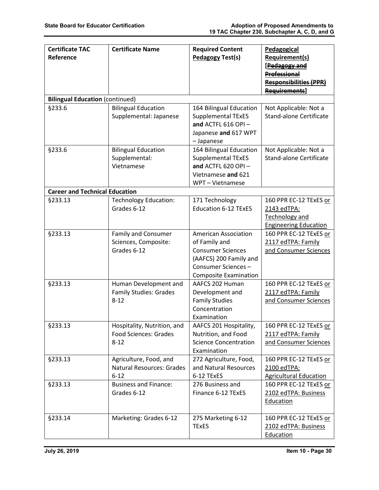| <b>Certificate TAC</b><br>Reference    | <b>Certificate Name</b>                                                 | <b>Required Content</b><br>Pedagogy Test(s)                                                                                                              | Pedagogical<br><b>Requirement(s)</b><br>[Pedagogy and<br><b>Professional</b><br><b>Responsibilities (PPR)</b><br>Requirements] |
|----------------------------------------|-------------------------------------------------------------------------|----------------------------------------------------------------------------------------------------------------------------------------------------------|--------------------------------------------------------------------------------------------------------------------------------|
| <b>Bilingual Education (continued)</b> |                                                                         |                                                                                                                                                          |                                                                                                                                |
| §233.6                                 | <b>Bilingual Education</b><br>Supplemental: Japanese                    | 164 Bilingual Education<br><b>Supplemental TExES</b><br>and ACTFL 616 OPI-<br>Japanese and 617 WPT<br>- Japanese                                         | Not Applicable: Not a<br><b>Stand-alone Certificate</b>                                                                        |
| §233.6                                 | <b>Bilingual Education</b><br>Supplemental:<br>Vietnamese               | 164 Bilingual Education<br>Supplemental TExES<br>and ACTFL 620 OPI $-$<br>Vietnamese and 621<br>WPT - Vietnamese                                         | Not Applicable: Not a<br><b>Stand-alone Certificate</b>                                                                        |
| <b>Career and Technical Education</b>  |                                                                         |                                                                                                                                                          |                                                                                                                                |
| §233.13                                | <b>Technology Education:</b><br>Grades 6-12                             | 171 Technology<br><b>Education 6-12 TExES</b>                                                                                                            | 160 PPR EC-12 TExES or<br>2143 edTPA:<br><b>Technology and</b><br><b>Engineering Education</b>                                 |
| §233.13                                | Family and Consumer<br>Sciences, Composite:<br>Grades 6-12              | <b>American Association</b><br>of Family and<br><b>Consumer Sciences</b><br>(AAFCS) 200 Family and<br>Consumer Sciences-<br><b>Composite Examination</b> | 160 PPR EC-12 TExES or<br>2117 edTPA: Family<br>and Consumer Sciences                                                          |
| §233.13                                | Human Development and<br><b>Family Studies: Grades</b><br>$8 - 12$      | AAFCS 202 Human<br>Development and<br><b>Family Studies</b><br>Concentration<br>Examination                                                              | 160 PPR EC-12 TExES or<br>2117 edTPA: Family<br>and Consumer Sciences                                                          |
| §233.13                                | Hospitality, Nutrition, and<br><b>Food Sciences: Grades</b><br>$8 - 12$ | AAFCS 201 Hospitality,<br>Nutrition, and Food<br><b>Science Concentration</b><br>Examination                                                             | 160 PPR EC-12 TExES or<br>2117 edTPA: Family<br>and Consumer Sciences                                                          |
| §233.13                                | Agriculture, Food, and<br><b>Natural Resources: Grades</b><br>$6 - 12$  | 272 Agriculture, Food,<br>and Natural Resources<br>6-12 TExES                                                                                            | 160 PPR EC-12 TExES or<br>2100 edTPA:<br><b>Agricultural Education</b>                                                         |
| §233.13                                | <b>Business and Finance:</b><br>Grades 6-12                             | 276 Business and<br>Finance 6-12 TExES                                                                                                                   | 160 PPR EC-12 TExES or<br>2102 edTPA: Business<br>Education                                                                    |
| §233.14                                | Marketing: Grades 6-12                                                  | 275 Marketing 6-12<br><b>TExES</b>                                                                                                                       | 160 PPR EC-12 TExES or<br>2102 edTPA: Business<br>Education                                                                    |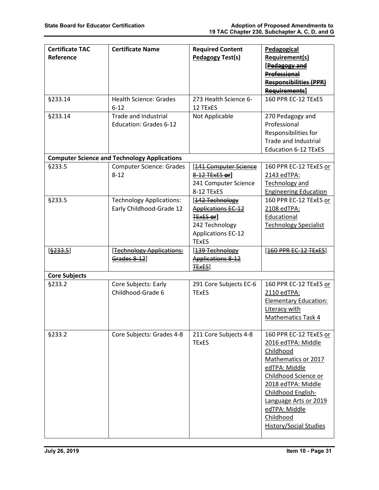| <b>Certificate TAC</b><br>Reference | <b>Certificate Name</b>                                      | <b>Required Content</b><br>Pedagogy Test(s)                                                                                      | Pedagogical<br><b>Requirement(s)</b><br>[Pedagogy and<br><b>Professional</b><br><b>Responsibilities (PPR)</b><br>Requirements]                                                                                                                         |
|-------------------------------------|--------------------------------------------------------------|----------------------------------------------------------------------------------------------------------------------------------|--------------------------------------------------------------------------------------------------------------------------------------------------------------------------------------------------------------------------------------------------------|
| §233.14                             | <b>Health Science: Grades</b><br>$6 - 12$                    | 273 Health Science 6-<br>12 TExES                                                                                                | 160 PPR EC-12 TExES                                                                                                                                                                                                                                    |
| §233.14                             | <b>Trade and Industrial</b><br><b>Education: Grades 6-12</b> | Not Applicable                                                                                                                   | 270 Pedagogy and<br>Professional<br>Responsibilities for<br>Trade and Industrial<br><b>Education 6-12 TExES</b>                                                                                                                                        |
|                                     | <b>Computer Science and Technology Applications</b>          |                                                                                                                                  |                                                                                                                                                                                                                                                        |
| §233.5                              | <b>Computer Science: Grades</b><br>$8 - 12$                  | [141 Computer Science<br>8-12 TExES or]<br>241 Computer Science<br>8-12 TExES                                                    | 160 PPR EC-12 TExES or<br>2143 edTPA:<br>Technology and<br><b>Engineering Education</b>                                                                                                                                                                |
| §233.5                              | <b>Technology Applications:</b><br>Early Childhood-Grade 12  | [142 Technology<br><b>Applications EC-12</b><br><b>TExES or</b> ]<br>242 Technology<br><b>Applications EC-12</b><br><b>TExES</b> | 160 PPR EC-12 TExES or<br>2108 edTPA:<br>Educational<br><b>Technology Specialist</b>                                                                                                                                                                   |
| [\$233.5]                           | [Technology Applications:<br>Grades 8-12]                    | [139 Technology<br>Applications 8-12<br><b>TEXES</b>                                                                             | [160 PPR EC-12 TExES]                                                                                                                                                                                                                                  |
| <b>Core Subjects</b>                |                                                              |                                                                                                                                  |                                                                                                                                                                                                                                                        |
| §233.2                              | Core Subjects: Early<br>Childhood-Grade 6                    | 291 Core Subjects EC-6<br><b>TExES</b>                                                                                           | 160 PPR EC-12 TExES or<br>2110 edTPA:<br><b>Elementary Education:</b><br>Literacy with<br>Mathematics Task 4                                                                                                                                           |
| §233.2                              | Core Subjects: Grades 4-8                                    | 211 Core Subjects 4-8<br><b>TExES</b>                                                                                            | 160 PPR EC-12 TExES or<br>2016 edTPA: Middle<br>Childhood<br>Mathematics or 2017<br>edTPA: Middle<br>Childhood Science or<br>2018 edTPA: Middle<br>Childhood English-<br>Language Arts or 2019<br>edTPA: Middle<br>Childhood<br>History/Social Studies |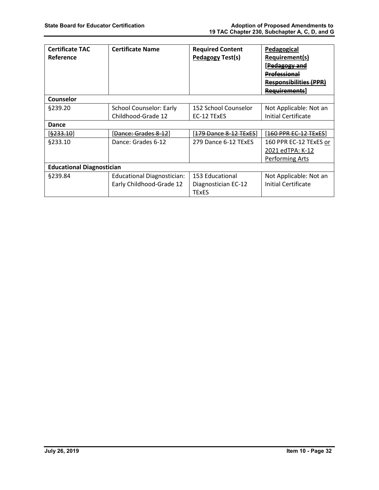| <b>Certificate TAC</b><br>Reference | <b>Certificate Name</b>           | <b>Required Content</b><br>Pedagogy Test(s) | Pedagogical<br>Requirement(s)<br>P <del>edagogy and</del><br>Professional<br>Responsibilities (PPR)<br>Requirements |
|-------------------------------------|-----------------------------------|---------------------------------------------|---------------------------------------------------------------------------------------------------------------------|
| <b>Counselor</b>                    |                                   |                                             |                                                                                                                     |
| \$239.20                            | School Counselor: Early           | 152 School Counselor                        | Not Applicable: Not an                                                                                              |
|                                     | Childhood-Grade 12                | EC-12 TExES                                 | Initial Certificate                                                                                                 |
| Dance                               |                                   |                                             |                                                                                                                     |
| [ <del>§233.10</del> ]              | [ <del>Dance: Grades 8-12</del> ] | [ <del>179 Dance 8-12 TExES</del> ]         | [ <del>160 PPR EC-12 TExES</del> ]                                                                                  |
| §233.10                             | Dance: Grades 6-12                | 279 Dance 6-12 TExES                        | 160 PPR EC-12 TExES or                                                                                              |
|                                     |                                   |                                             | 2021 edTPA: K-12                                                                                                    |
|                                     |                                   |                                             | Performing Arts                                                                                                     |
| <b>Educational Diagnostician</b>    |                                   |                                             |                                                                                                                     |
| §239.84                             | <b>Educational Diagnostician:</b> | 153 Educational                             | Not Applicable: Not an                                                                                              |
|                                     | Early Childhood-Grade 12          | Diagnostician EC-12<br><b>TExES</b>         | Initial Certificate                                                                                                 |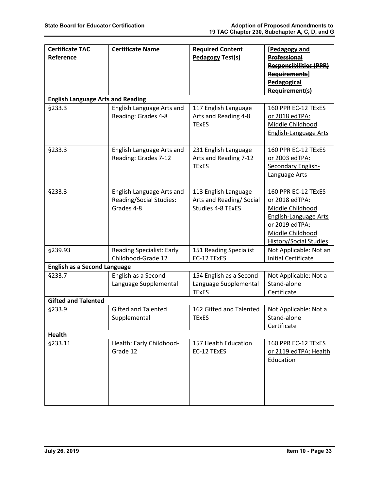| <b>Certificate TAC</b><br>Reference      | <b>Certificate Name</b>                                                   | <b>Required Content</b><br><b>Pedagogy Test(s)</b>                   | [Pedagogy and<br><b>Professional</b><br><b>Responsibilities (PPR)</b><br>Requirements]                                                                           |
|------------------------------------------|---------------------------------------------------------------------------|----------------------------------------------------------------------|------------------------------------------------------------------------------------------------------------------------------------------------------------------|
|                                          |                                                                           |                                                                      | Pedagogical<br><b>Requirement(s)</b>                                                                                                                             |
| <b>English Language Arts and Reading</b> |                                                                           |                                                                      |                                                                                                                                                                  |
| §233.3                                   | English Language Arts and<br>Reading: Grades 4-8                          | 117 English Language<br>Arts and Reading 4-8<br><b>TExES</b>         | 160 PPR EC-12 TExES<br><u>or 2018 edTPA:</u><br>Middle Childhood<br><b>English-Language Arts</b>                                                                 |
| §233.3                                   | English Language Arts and<br>Reading: Grades 7-12                         | 231 English Language<br>Arts and Reading 7-12<br><b>TExES</b>        | 160 PPR EC-12 TExES<br><u>or 2003 edTPA:</u><br>Secondary English-<br>Language Arts                                                                              |
| §233.3                                   | English Language Arts and<br><b>Reading/Social Studies:</b><br>Grades 4-8 | 113 English Language<br>Arts and Reading/Social<br>Studies 4-8 TExES | 160 PPR EC-12 TExES<br>or 2018 edTPA:<br>Middle Childhood<br><b>English-Language Arts</b><br>or 2019 edTPA:<br>Middle Childhood<br><b>History/Social Studies</b> |
| §239.93                                  | <b>Reading Specialist: Early</b><br>Childhood-Grade 12                    | 151 Reading Specialist<br>EC-12 TExES                                | Not Applicable: Not an<br><b>Initial Certificate</b>                                                                                                             |
| <b>English as a Second Language</b>      |                                                                           |                                                                      |                                                                                                                                                                  |
| §233.7                                   | English as a Second<br>Language Supplemental                              | 154 English as a Second<br>Language Supplemental<br><b>TExES</b>     | Not Applicable: Not a<br>Stand-alone<br>Certificate                                                                                                              |
| <b>Gifted and Talented</b>               |                                                                           |                                                                      |                                                                                                                                                                  |
| §233.9                                   | <b>Gifted and Talented</b><br>Supplemental                                | 162 Gifted and Talented<br><b>TExES</b>                              | Not Applicable: Not a<br>Stand-alone<br>Certificate                                                                                                              |
| Health                                   |                                                                           |                                                                      |                                                                                                                                                                  |
| §233.11                                  | Health: Early Childhood-<br>Grade 12                                      | 157 Health Education<br>EC-12 TExES                                  | 160 PPR EC-12 TExES<br>or 2119 edTPA: Health<br>Education                                                                                                        |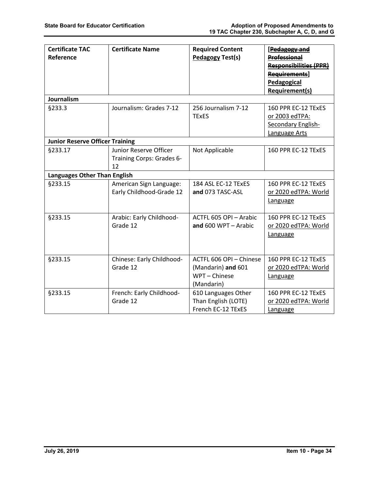| <b>Certificate TAC</b><br>Reference    | <b>Certificate Name</b>                                   | <b>Required Content</b><br>Pedagogy Test(s)                                  | [Pedagogy and<br><b>Professional</b><br><b>Responsibilities (PPR)</b><br>Requirements]<br>Pedagogical |
|----------------------------------------|-----------------------------------------------------------|------------------------------------------------------------------------------|-------------------------------------------------------------------------------------------------------|
|                                        |                                                           |                                                                              | <b>Requirement(s)</b>                                                                                 |
| Journalism                             |                                                           |                                                                              |                                                                                                       |
| §233.3                                 | Journalism: Grades 7-12                                   | 256 Journalism 7-12<br><b>TExES</b>                                          | 160 PPR EC-12 TExES<br>or 2003 edTPA:<br>Secondary English-<br>Language Arts                          |
| <b>Junior Reserve Officer Training</b> |                                                           |                                                                              |                                                                                                       |
| §233.17                                | Junior Reserve Officer<br>Training Corps: Grades 6-<br>12 | Not Applicable                                                               | 160 PPR EC-12 TExES                                                                                   |
| <b>Languages Other Than English</b>    |                                                           |                                                                              |                                                                                                       |
| §233.15                                | American Sign Language:<br>Early Childhood-Grade 12       | 184 ASL EC-12 TExES<br>and 073 TASC-ASL                                      | 160 PPR EC-12 TEXES<br>or 2020 edTPA: World<br>Language                                               |
| §233.15                                | Arabic: Early Childhood-<br>Grade 12                      | ACTFL 605 OPI - Arabic<br>and $600$ WPT $-$ Arabic                           | 160 PPR EC-12 TExES<br>or 2020 edTPA: World<br>Language                                               |
| §233.15                                | Chinese: Early Childhood-<br>Grade 12                     | ACTFL 606 OPI - Chinese<br>(Mandarin) and 601<br>WPT - Chinese<br>(Mandarin) | 160 PPR EC-12 TExES<br>or 2020 edTPA: World<br>Language                                               |
| §233.15                                | French: Early Childhood-<br>Grade 12                      | 610 Languages Other<br>Than English (LOTE)<br>French EC-12 TExES             | 160 PPR EC-12 TExES<br>or 2020 edTPA: World<br>Language                                               |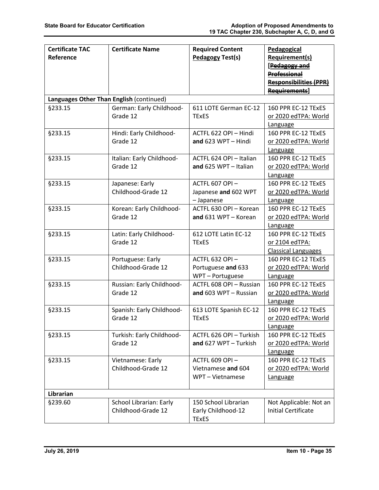| <b>Certificate TAC</b>                   | <b>Certificate Name</b>                       | <b>Required Content</b>                                    | Pedagogical                                                                                    |
|------------------------------------------|-----------------------------------------------|------------------------------------------------------------|------------------------------------------------------------------------------------------------|
| Reference                                |                                               | <b>Pedagogy Test(s)</b>                                    | <b>Requirement(s)</b><br>[Pedagogy and<br><b>Professional</b><br><b>Responsibilities (PPR)</b> |
|                                          |                                               |                                                            | <b>Requirements</b> ]                                                                          |
| Languages Other Than English (continued) |                                               |                                                            |                                                                                                |
| §233.15                                  | German: Early Childhood-<br>Grade 12          | 611 LOTE German EC-12<br><b>TExES</b>                      | 160 PPR EC-12 TExES<br>or 2020 edTPA: World<br>Language                                        |
| §233.15                                  | Hindi: Early Childhood-<br>Grade 12           | ACTFL 622 OPI - Hindi<br>and $623$ WPT - Hindi             | 160 PPR EC-12 TExES<br>or 2020 edTPA: World<br>Language                                        |
| §233.15                                  | Italian: Early Childhood-<br>Grade 12         | ACTFL 624 OPI - Italian<br>and 625 WPT - Italian           | 160 PPR EC-12 TExES<br>or 2020 edTPA: World<br>Language                                        |
| §233.15                                  | Japanese: Early<br>Childhood-Grade 12         | ACTFL 607 OPI-<br>Japanese and 602 WPT<br>- Japanese       | 160 PPR EC-12 TExES<br>or 2020 edTPA: World<br>Language                                        |
| §233.15                                  | Korean: Early Childhood-<br>Grade 12          | ACTFL 630 OPI - Korean<br>and 631 WPT - Korean             | 160 PPR EC-12 TExES<br>or 2020 edTPA: World<br>Language                                        |
| §233.15                                  | Latin: Early Childhood-<br>Grade 12           | 612 LOTE Latin EC-12<br><b>TExES</b>                       | 160 PPR EC-12 TExES<br>or 2104 edTPA:<br><b>Classical Languages</b>                            |
| §233.15                                  | Portuguese: Early<br>Childhood-Grade 12       | ACTFL 632 OPI-<br>Portuguese and 633<br>WPT-Portuguese     | 160 PPR EC-12 TExES<br>or 2020 edTPA: World<br>Language                                        |
| §233.15                                  | Russian: Early Childhood-<br>Grade 12         | ACTFL 608 OPI - Russian<br>and 603 WPT - Russian           | 160 PPR EC-12 TExES<br>or 2020 edTPA: World<br>Language                                        |
| §233.15                                  | Spanish: Early Childhood-<br>Grade 12         | 613 LOTE Spanish EC-12<br><b>TExES</b>                     | 160 PPR EC-12 TExES<br>or 2020 edTPA: World<br><b>Language</b>                                 |
| §233.15                                  | Turkish: Early Childhood-<br>Grade 12         | ACTFL 626 OPI - Turkish<br>and 627 WPT - Turkish           | 160 PPR EC-12 TExES<br>or 2020 edTPA: World<br>Language                                        |
| §233.15                                  | Vietnamese: Early<br>Childhood-Grade 12       | ACTFL 609 OPI-<br>Vietnamese and 604<br>WPT - Vietnamese   | 160 PPR EC-12 TExES<br>or 2020 edTPA: World<br>Language                                        |
| Librarian                                |                                               |                                                            |                                                                                                |
| §239.60                                  | School Librarian: Early<br>Childhood-Grade 12 | 150 School Librarian<br>Early Childhood-12<br><b>TExES</b> | Not Applicable: Not an<br><b>Initial Certificate</b>                                           |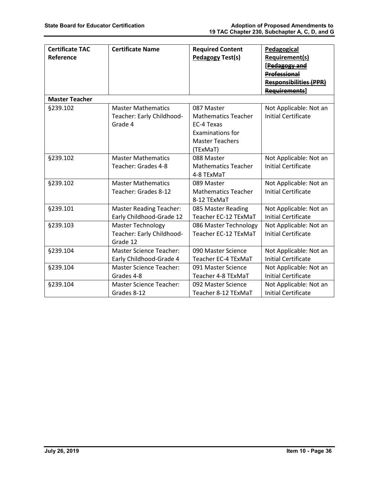| <b>Certificate TAC</b> | <b>Certificate Name</b>        | <b>Required Content</b>    | Pedagogical                   |
|------------------------|--------------------------------|----------------------------|-------------------------------|
| Reference              |                                | Pedagogy Test(s)           | <b>Requirement(s)</b>         |
|                        |                                |                            | [Pedagogy and                 |
|                        |                                |                            |                               |
|                        |                                |                            | <b>Professional</b>           |
|                        |                                |                            | <b>Responsibilities (PPR)</b> |
|                        |                                |                            | <b>Requirements</b> ]         |
| <b>Master Teacher</b>  |                                |                            |                               |
| §239.102               | <b>Master Mathematics</b>      | 087 Master                 | Not Applicable: Not an        |
|                        | Teacher: Early Childhood-      | <b>Mathematics Teacher</b> | <b>Initial Certificate</b>    |
|                        | Grade 4                        | EC-4 Texas                 |                               |
|                        |                                | <b>Examinations for</b>    |                               |
|                        |                                | <b>Master Teachers</b>     |                               |
|                        |                                | (TExMaT)                   |                               |
| §239.102               | <b>Master Mathematics</b>      | 088 Master                 | Not Applicable: Not an        |
|                        | Teacher: Grades 4-8            | <b>Mathematics Teacher</b> | <b>Initial Certificate</b>    |
|                        |                                | 4-8 TExMaT                 |                               |
| §239.102               | <b>Master Mathematics</b>      | 089 Master                 | Not Applicable: Not an        |
|                        | Teacher: Grades 8-12           | <b>Mathematics Teacher</b> | <b>Initial Certificate</b>    |
|                        |                                | 8-12 TExMaT                |                               |
| §239.101               | <b>Master Reading Teacher:</b> | 085 Master Reading         | Not Applicable: Not an        |
|                        | Early Childhood-Grade 12       | Teacher EC-12 TExMaT       | <b>Initial Certificate</b>    |
| §239.103               | <b>Master Technology</b>       | 086 Master Technology      | Not Applicable: Not an        |
|                        | Teacher: Early Childhood-      | Teacher EC-12 TExMaT       | <b>Initial Certificate</b>    |
|                        | Grade 12                       |                            |                               |
| §239.104               | <b>Master Science Teacher:</b> | 090 Master Science         | Not Applicable: Not an        |
|                        | Early Childhood-Grade 4        | Teacher EC-4 TExMaT        | <b>Initial Certificate</b>    |
| §239.104               | <b>Master Science Teacher:</b> | 091 Master Science         | Not Applicable: Not an        |
|                        | Grades 4-8                     | Teacher 4-8 TExMaT         | <b>Initial Certificate</b>    |
| §239.104               | <b>Master Science Teacher:</b> | 092 Master Science         | Not Applicable: Not an        |
|                        | Grades 8-12                    | Teacher 8-12 TExMaT        | <b>Initial Certificate</b>    |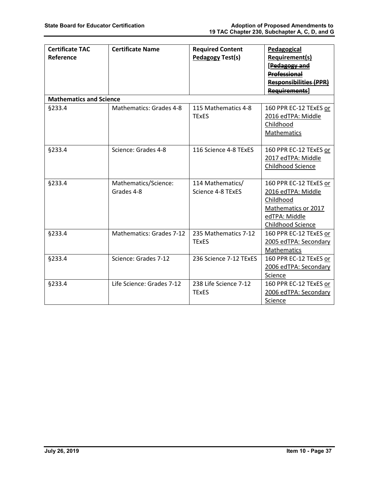| <b>Certificate TAC</b>         | <b>Certificate Name</b>   | <b>Required Content</b> | Pedagogical                   |
|--------------------------------|---------------------------|-------------------------|-------------------------------|
| Reference                      |                           | <b>Pedagogy Test(s)</b> | Requirement(s)                |
|                                |                           |                         | [Pedagogy and                 |
|                                |                           |                         | <b>Professional</b>           |
|                                |                           |                         | <b>Responsibilities (PPR)</b> |
|                                |                           |                         | <b>Requirements</b>           |
| <b>Mathematics and Science</b> |                           |                         |                               |
| §233.4                         | Mathematics: Grades 4-8   | 115 Mathematics 4-8     | 160 PPR EC-12 TExES or        |
|                                |                           | <b>TExES</b>            | 2016 edTPA: Middle            |
|                                |                           |                         | Childhood                     |
|                                |                           |                         | Mathematics                   |
|                                |                           |                         |                               |
| §233.4                         | Science: Grades 4-8       | 116 Science 4-8 TExES   | 160 PPR EC-12 TExES or        |
|                                |                           |                         | 2017 edTPA: Middle            |
|                                |                           |                         | Childhood Science             |
|                                |                           |                         |                               |
| §233.4                         | Mathematics/Science:      | 114 Mathematics/        | 160 PPR EC-12 TExES or        |
|                                | Grades 4-8                | Science 4-8 TExES       | 2016 edTPA: Middle            |
|                                |                           |                         | Childhood                     |
|                                |                           |                         | Mathematics or 2017           |
|                                |                           |                         | edTPA: Middle                 |
|                                |                           |                         | Childhood Science             |
| §233.4                         | Mathematics: Grades 7-12  | 235 Mathematics 7-12    | 160 PPR EC-12 TExES or        |
|                                |                           | <b>TExES</b>            | 2005 edTPA: Secondary         |
|                                |                           |                         | Mathematics                   |
| §233.4                         | Science: Grades 7-12      | 236 Science 7-12 TExES  | 160 PPR EC-12 TExES or        |
|                                |                           |                         | 2006 edTPA: Secondary         |
|                                |                           |                         | Science                       |
| §233.4                         | Life Science: Grades 7-12 | 238 Life Science 7-12   | 160 PPR EC-12 TExES or        |
|                                |                           | <b>TExES</b>            | 2006 edTPA: Secondary         |
|                                |                           |                         | Science                       |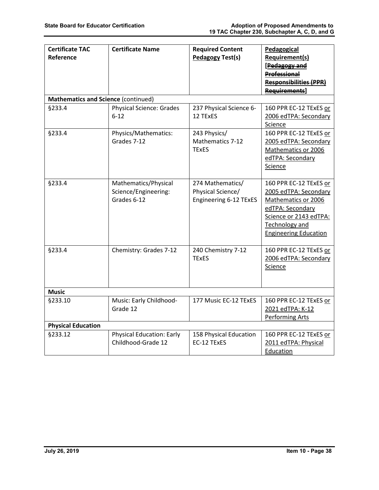| <b>Certificate TAC</b><br>Reference        | <b>Certificate Name</b>                                     | <b>Required Content</b><br><b>Pedagogy Test(s)</b>              | Pedagogical<br><b>Requirement(s)</b><br>[Pedagogy and<br><b>Professional</b><br><b>Responsibilities (PPR)</b><br><b>Requirements</b>                                   |
|--------------------------------------------|-------------------------------------------------------------|-----------------------------------------------------------------|------------------------------------------------------------------------------------------------------------------------------------------------------------------------|
| <b>Mathematics and Science (continued)</b> |                                                             |                                                                 |                                                                                                                                                                        |
| §233.4                                     | <b>Physical Science: Grades</b><br>$6-12$                   | 237 Physical Science 6-<br>12 TExES                             | 160 PPR EC-12 TExES or<br>2006 edTPA: Secondary<br>Science                                                                                                             |
| §233.4                                     | Physics/Mathematics:<br>Grades 7-12                         | 243 Physics/<br>Mathematics 7-12<br><b>TExES</b>                | 160 PPR EC-12 TExES or<br>2005 edTPA: Secondary<br>Mathematics or 2006<br>edTPA: Secondary<br>Science                                                                  |
| §233.4                                     | Mathematics/Physical<br>Science/Engineering:<br>Grades 6-12 | 274 Mathematics/<br>Physical Science/<br>Engineering 6-12 TExES | 160 PPR EC-12 TExES or<br>2005 edTPA: Secondary<br>Mathematics or 2006<br>edTPA: Secondary<br>Science or 2143 edTPA:<br>Technology and<br><b>Engineering Education</b> |
| §233.4                                     | Chemistry: Grades 7-12                                      | 240 Chemistry 7-12<br><b>TExES</b>                              | 160 PPR EC-12 TExES or<br>2006 edTPA: Secondary<br>Science                                                                                                             |
| <b>Music</b>                               |                                                             |                                                                 |                                                                                                                                                                        |
| §233.10                                    | Music: Early Childhood-<br>Grade 12                         | 177 Music EC-12 TExES                                           | 160 PPR EC-12 TExES or<br>2021 edTPA: K-12<br><b>Performing Arts</b>                                                                                                   |
| <b>Physical Education</b>                  |                                                             |                                                                 |                                                                                                                                                                        |
| §233.12                                    | <b>Physical Education: Early</b><br>Childhood-Grade 12      | 158 Physical Education<br>EC-12 TExES                           | 160 PPR EC-12 TExES or<br>2011 edTPA: Physical<br>Education                                                                                                            |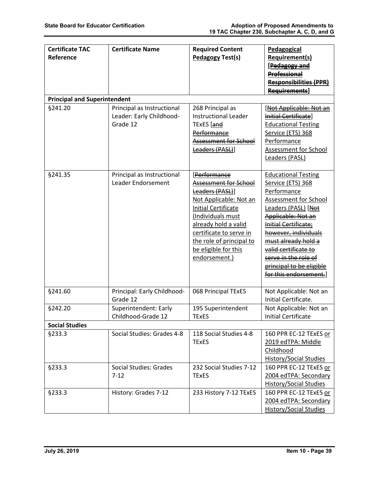| <b>Certificate TAC</b><br>Reference | <b>Certificate Name</b>                                            | <b>Required Content</b><br><b>Pedagogy Test(s)</b>                                                                                                                                                                                                            | Pedagogical<br>Requirement(s)<br>[Pedagogy and<br><b>Professional</b><br><b>Responsibilities (PPR)</b><br>Requirements]                                                                                                                                                                                           |  |  |
|-------------------------------------|--------------------------------------------------------------------|---------------------------------------------------------------------------------------------------------------------------------------------------------------------------------------------------------------------------------------------------------------|-------------------------------------------------------------------------------------------------------------------------------------------------------------------------------------------------------------------------------------------------------------------------------------------------------------------|--|--|
| <b>Principal and Superintendent</b> |                                                                    |                                                                                                                                                                                                                                                               |                                                                                                                                                                                                                                                                                                                   |  |  |
| §241.20                             | Principal as Instructional<br>Leader: Early Childhood-<br>Grade 12 | 268 Principal as<br><b>Instructional Leader</b><br>TExES [and<br>Performance<br>Assessment for School<br>Leaders (PASL)]                                                                                                                                      | [Not Applicable: Not an<br>Initial Certificate]<br><b>Educational Testing</b><br>Service (ETS) 368<br>Performance<br>Assessment for School<br>Leaders (PASL)                                                                                                                                                      |  |  |
| §241.35                             | Principal as Instructional<br>Leader Endorsement                   | [Performance<br>Assessment for School<br>Leaders (PASL)]<br>Not Applicable: Not an<br><b>Initial Certificate</b><br>(Individuals must<br>already hold a valid<br>certificate to serve in<br>the role of principal to<br>be eligible for this<br>endorsement.) | <b>Educational Testing</b><br>Service (ETS) 368<br>Performance<br>Assessment for School<br>Leaders (PASL) [Not<br>Applicable: Not an<br>Initial Certificate;<br>however, individuals<br>must already hold a<br>valid certificate to<br>serve in the role of<br>principal to be eligible<br>for this endorsement.] |  |  |
| §241.60                             | Principal: Early Childhood-<br>Grade 12                            | 068 Principal TExES                                                                                                                                                                                                                                           | Not Applicable: Not an<br>Initial Certificate.                                                                                                                                                                                                                                                                    |  |  |
| §242.20                             | Superintendent: Early<br>Childhood-Grade 12                        | 195 Superintendent<br><b>TExES</b>                                                                                                                                                                                                                            | Not Applicable: Not an<br><b>Initial Certificate</b>                                                                                                                                                                                                                                                              |  |  |
| <b>Social Studies</b>               |                                                                    |                                                                                                                                                                                                                                                               |                                                                                                                                                                                                                                                                                                                   |  |  |
| <b>§233.3</b>                       | Social Studies: Grades 4-8                                         | 118 Social Studies 4-8<br><b>TExES</b>                                                                                                                                                                                                                        | 160 PPR EC-12 TExES or<br>2019 edTPA: Middle<br>Childhood<br><b>History/Social Studies</b>                                                                                                                                                                                                                        |  |  |
| <b>§233.3</b>                       | Social Studies: Grades<br>$7 - 12$                                 | 232 Social Studies 7-12<br><b>TExES</b>                                                                                                                                                                                                                       | 160 PPR EC-12 TExES or<br>2004 edTPA: Secondary<br><b>History/Social Studies</b>                                                                                                                                                                                                                                  |  |  |
| §233.3                              | History: Grades 7-12                                               | 233 History 7-12 TExES                                                                                                                                                                                                                                        | 160 PPR EC-12 TExES or<br>2004 edTPA: Secondary<br><b>History/Social Studies</b>                                                                                                                                                                                                                                  |  |  |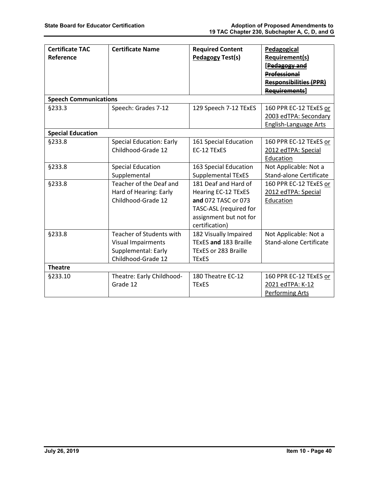| <b>Certificate TAC</b>       | <b>Certificate Name</b>         | <b>Required Content</b>     | Pedagogical                    |
|------------------------------|---------------------------------|-----------------------------|--------------------------------|
| Reference                    |                                 | <b>Pedagogy Test(s)</b>     | <b>Requirement(s)</b>          |
|                              |                                 |                             | [Pedagogy and                  |
|                              |                                 |                             | <b>Professional</b>            |
|                              |                                 |                             | <b>Responsibilities (PPR)</b>  |
|                              |                                 |                             | <b>Requirements]</b>           |
| <b>Speech Communications</b> |                                 |                             |                                |
| §233.3                       | Speech: Grades 7-12             | 129 Speech 7-12 TExES       | 160 PPR EC-12 TExES or         |
|                              |                                 |                             | 2003 edTPA: Secondary          |
|                              |                                 |                             | <b>English-Language Arts</b>   |
| <b>Special Education</b>     |                                 |                             |                                |
| §233.8                       | <b>Special Education: Early</b> | 161 Special Education       | 160 PPR EC-12 TExES or         |
|                              | Childhood-Grade 12              | EC-12 TExES                 | 2012 edTPA: Special            |
|                              |                                 |                             | Education                      |
| §233.8                       | <b>Special Education</b>        | 163 Special Education       | Not Applicable: Not a          |
|                              | Supplemental                    | <b>Supplemental TExES</b>   | <b>Stand-alone Certificate</b> |
| <b>§233.8</b>                | Teacher of the Deaf and         | 181 Deaf and Hard of        | 160 PPR EC-12 TExES or         |
|                              | Hard of Hearing: Early          | <b>Hearing EC-12 TExES</b>  | 2012 edTPA: Special            |
|                              | Childhood-Grade 12              | and 072 TASC or 073         | Education                      |
|                              |                                 | TASC-ASL (required for      |                                |
|                              |                                 | assignment but not for      |                                |
|                              |                                 | certification)              |                                |
| <b>§233.8</b>                | Teacher of Students with        | 182 Visually Impaired       | Not Applicable: Not a          |
|                              | <b>Visual Impairments</b>       | TExES and 183 Braille       | <b>Stand-alone Certificate</b> |
|                              | Supplemental: Early             | <b>TExES or 283 Braille</b> |                                |
|                              | Childhood-Grade 12              | <b>TExES</b>                |                                |
| <b>Theatre</b>               |                                 |                             |                                |
| §233.10                      | Theatre: Early Childhood-       | 180 Theatre EC-12           | 160 PPR EC-12 TExES or         |
|                              | Grade 12                        | <b>TExES</b>                | 2021 edTPA: K-12               |
|                              |                                 |                             | <b>Performing Arts</b>         |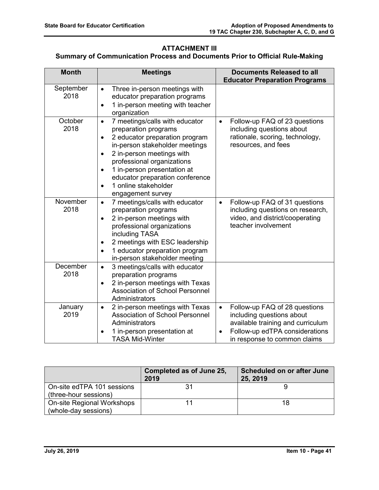# **ATTACHMENT III**

# **Summary of Communication Process and Documents Prior to Official Rule-Making**

| <b>Month</b>      | <b>Meetings</b>                                                                                                                                                                                                                                                                                                                                                       | <b>Documents Released to all</b><br><b>Educator Preparation Programs</b>                                                                                                                    |
|-------------------|-----------------------------------------------------------------------------------------------------------------------------------------------------------------------------------------------------------------------------------------------------------------------------------------------------------------------------------------------------------------------|---------------------------------------------------------------------------------------------------------------------------------------------------------------------------------------------|
| September<br>2018 | Three in-person meetings with<br>$\bullet$<br>educator preparation programs<br>1 in-person meeting with teacher<br>$\bullet$<br>organization                                                                                                                                                                                                                          |                                                                                                                                                                                             |
| October<br>2018   | 7 meetings/calls with educator<br>$\bullet$<br>preparation programs<br>2 educator preparation program<br>$\bullet$<br>in-person stakeholder meetings<br>2 in-person meetings with<br>$\bullet$<br>professional organizations<br>1 in-person presentation at<br>$\bullet$<br>educator preparation conference<br>1 online stakeholder<br>$\bullet$<br>engagement survey | Follow-up FAQ of 23 questions<br>$\bullet$<br>including questions about<br>rationale, scoring, technology,<br>resources, and fees                                                           |
| November<br>2018  | 7 meetings/calls with educator<br>$\bullet$<br>preparation programs<br>2 in-person meetings with<br>$\bullet$<br>professional organizations<br>including TASA<br>2 meetings with ESC leadership<br>$\bullet$<br>1 educator preparation program<br>$\bullet$<br>in-person stakeholder meeting                                                                          | Follow-up FAQ of 31 questions<br>$\bullet$<br>including questions on research,<br>video, and district/cooperating<br>teacher involvement                                                    |
| December<br>2018  | 3 meetings/calls with educator<br>$\bullet$<br>preparation programs<br>2 in-person meetings with Texas<br>$\bullet$<br><b>Association of School Personnel</b><br>Administrators                                                                                                                                                                                       |                                                                                                                                                                                             |
| January<br>2019   | 2 in-person meetings with Texas<br>$\bullet$<br><b>Association of School Personnel</b><br>Administrators<br>1 in-person presentation at<br><b>TASA Mid-Winter</b>                                                                                                                                                                                                     | Follow-up FAQ of 28 questions<br>$\bullet$<br>including questions about<br>available training and curriculum<br>Follow-up edTPA considerations<br>$\bullet$<br>in response to common claims |

|                                                     | Completed as of June 25,<br>2019 | <b>Scheduled on or after June</b><br>25, 2019 |
|-----------------------------------------------------|----------------------------------|-----------------------------------------------|
| On-site edTPA 101 sessions<br>(three-hour sessions) |                                  |                                               |
| On-site Regional Workshops<br>(whole-day sessions)  |                                  | 18                                            |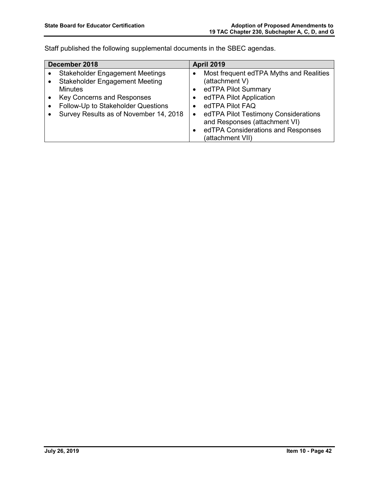Staff published the following supplemental documents in the SBEC agendas.

| December 2018 |                                        | <b>April 2019</b> |                                         |
|---------------|----------------------------------------|-------------------|-----------------------------------------|
|               | <b>Stakeholder Engagement Meetings</b> |                   | Most frequent edTPA Myths and Realities |
|               | <b>Stakeholder Engagement Meeting</b>  |                   | (attachment V)                          |
|               | <b>Minutes</b>                         | $\bullet$         | edTPA Pilot Summary                     |
|               | <b>Key Concerns and Responses</b>      |                   | edTPA Pilot Application                 |
|               | Follow-Up to Stakeholder Questions     |                   | edTPA Pilot FAQ                         |
|               | Survey Results as of November 14, 2018 | $\bullet$         | edTPA Pilot Testimony Considerations    |
|               |                                        |                   | and Responses (attachment VI)           |
|               |                                        |                   | edTPA Considerations and Responses      |
|               |                                        |                   | (attachment VII)                        |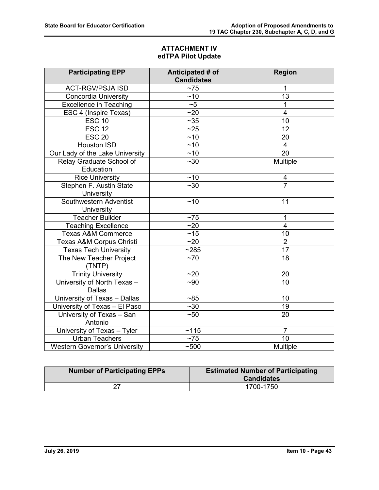# **ATTACHMENT IV edTPA Pilot Update**

| <b>Participating EPP</b>             | Anticipated # of  | <b>Region</b>           |
|--------------------------------------|-------------------|-------------------------|
|                                      | <b>Candidates</b> |                         |
| <b>ACT-RGV/PSJA ISD</b>              | $~1$ 75           | 1                       |
| <b>Concordia University</b>          | ~10               | 13                      |
| <b>Excellence in Teaching</b>        | ~1                | 1                       |
| ESC 4 (Inspire Texas)                | ~20               | $\overline{4}$          |
| $\overline{ESC}$ 10                  | $\overline{~}$ 35 | 10                      |
| <b>ESC 12</b>                        | ~25               | 12                      |
| <b>ESC 20</b>                        | ~10               | 20                      |
| Houston ISD                          | ~10               | $\overline{\mathbf{4}}$ |
| Our Lady of the Lake University      | ~10               | $\overline{20}$         |
| Relay Graduate School of             | $~1$ - 30         | Multiple                |
| Education                            |                   |                         |
| <b>Rice University</b>               | ~10               | 4                       |
| Stephen F. Austin State              | $\overline{30}$   | $\overline{7}$          |
| University                           |                   |                         |
| Southwestern Adventist               | ~10               | 11                      |
| University                           |                   |                         |
| <b>Teacher Builder</b>               | $~1$ 75           | 1                       |
| <b>Teaching Excellence</b>           | ~20               | $\overline{4}$          |
| <b>Texas A&amp;M Commerce</b>        | ~15               | 10                      |
| Texas A&M Corpus Christi             | ~20               | $\overline{2}$          |
| <b>Texas Tech University</b>         | ~285              | 17                      |
| The New Teacher Project              | $~1$ 70           | 18                      |
| (TNTP)                               |                   |                         |
| <b>Trinity University</b>            | ~20               | 20                      |
| University of North Texas -          | $-90$             | 10                      |
| <b>Dallas</b>                        |                   |                         |
| University of Texas - Dallas         | ~185              | 10                      |
| University of Texas - El Paso        | ~230              | 19                      |
| University of Texas - San            | ~50               | 20                      |
| Antonio                              |                   |                         |
| University of Texas - Tyler          | ~115              | $\overline{7}$          |
| <b>Urban Teachers</b>                | ~175              | 10                      |
| <b>Western Governor's University</b> | ~500              | Multiple                |

| <b>Number of Participating EPPs</b> | <b>Estimated Number of Participating</b><br><b>Candidates</b> |
|-------------------------------------|---------------------------------------------------------------|
| דר                                  | 1700-1750                                                     |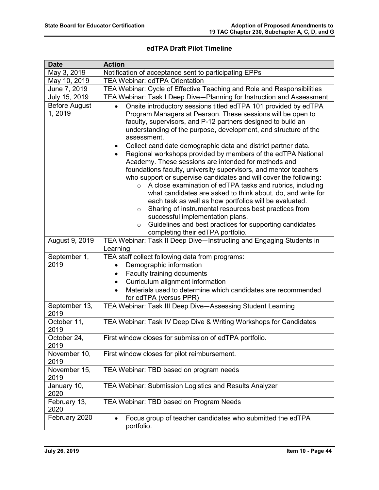# **edTPA Draft Pilot Timeline**

| <b>Date</b>                    | <b>Action</b>                                                                                                                                                                                                                                                                                                                                                                                                                                                                                                                                                                                                                                                                                                                                                                                                                                                                                                                                                                                                                                                    |
|--------------------------------|------------------------------------------------------------------------------------------------------------------------------------------------------------------------------------------------------------------------------------------------------------------------------------------------------------------------------------------------------------------------------------------------------------------------------------------------------------------------------------------------------------------------------------------------------------------------------------------------------------------------------------------------------------------------------------------------------------------------------------------------------------------------------------------------------------------------------------------------------------------------------------------------------------------------------------------------------------------------------------------------------------------------------------------------------------------|
| May 3, 2019                    | Notification of acceptance sent to participating EPPs                                                                                                                                                                                                                                                                                                                                                                                                                                                                                                                                                                                                                                                                                                                                                                                                                                                                                                                                                                                                            |
| May 10, 2019                   | <b>TEA Webinar: edTPA Orientation</b>                                                                                                                                                                                                                                                                                                                                                                                                                                                                                                                                                                                                                                                                                                                                                                                                                                                                                                                                                                                                                            |
| June 7, 2019                   | TEA Webinar: Cycle of Effective Teaching and Role and Responsibilities                                                                                                                                                                                                                                                                                                                                                                                                                                                                                                                                                                                                                                                                                                                                                                                                                                                                                                                                                                                           |
| July 15, 2019                  | TEA Webinar: Task I Deep Dive-Planning for Instruction and Assessment                                                                                                                                                                                                                                                                                                                                                                                                                                                                                                                                                                                                                                                                                                                                                                                                                                                                                                                                                                                            |
| <b>Before August</b><br>1,2019 | Onsite introductory sessions titled edTPA 101 provided by edTPA<br>$\bullet$<br>Program Managers at Pearson. These sessions will be open to<br>faculty, supervisors, and P-12 partners designed to build an<br>understanding of the purpose, development, and structure of the<br>assessment.<br>Collect candidate demographic data and district partner data.<br>$\bullet$<br>Regional workshops provided by members of the edTPA National<br>Academy. These sessions are intended for methods and<br>foundations faculty, university supervisors, and mentor teachers<br>who support or supervise candidates and will cover the following:<br>A close examination of edTPA tasks and rubrics, including<br>$\circ$<br>what candidates are asked to think about, do, and write for<br>each task as well as how portfolios will be evaluated.<br>Sharing of instrumental resources best practices from<br>$\circ$<br>successful implementation plans.<br>Guidelines and best practices for supporting candidates<br>$\circ$<br>completing their edTPA portfolio. |
| August 9, 2019                 | TEA Webinar: Task II Deep Dive-Instructing and Engaging Students in<br>Learning                                                                                                                                                                                                                                                                                                                                                                                                                                                                                                                                                                                                                                                                                                                                                                                                                                                                                                                                                                                  |
| September 1,                   | TEA staff collect following data from programs:                                                                                                                                                                                                                                                                                                                                                                                                                                                                                                                                                                                                                                                                                                                                                                                                                                                                                                                                                                                                                  |
| 2019                           | Demographic information                                                                                                                                                                                                                                                                                                                                                                                                                                                                                                                                                                                                                                                                                                                                                                                                                                                                                                                                                                                                                                          |
|                                | Faculty training documents<br>$\bullet$                                                                                                                                                                                                                                                                                                                                                                                                                                                                                                                                                                                                                                                                                                                                                                                                                                                                                                                                                                                                                          |
|                                | Curriculum alignment information<br>$\bullet$                                                                                                                                                                                                                                                                                                                                                                                                                                                                                                                                                                                                                                                                                                                                                                                                                                                                                                                                                                                                                    |
|                                | Materials used to determine which candidates are recommended<br>$\bullet$<br>for edTPA (versus PPR)                                                                                                                                                                                                                                                                                                                                                                                                                                                                                                                                                                                                                                                                                                                                                                                                                                                                                                                                                              |
| September 13,<br>2019          | TEA Webinar: Task III Deep Dive-Assessing Student Learning                                                                                                                                                                                                                                                                                                                                                                                                                                                                                                                                                                                                                                                                                                                                                                                                                                                                                                                                                                                                       |
| October 11,<br>2019            | TEA Webinar: Task IV Deep Dive & Writing Workshops for Candidates                                                                                                                                                                                                                                                                                                                                                                                                                                                                                                                                                                                                                                                                                                                                                                                                                                                                                                                                                                                                |
| October 24,<br>2019            | First window closes for submission of edTPA portfolio.                                                                                                                                                                                                                                                                                                                                                                                                                                                                                                                                                                                                                                                                                                                                                                                                                                                                                                                                                                                                           |
| November 10,<br>2019           | First window closes for pilot reimbursement.                                                                                                                                                                                                                                                                                                                                                                                                                                                                                                                                                                                                                                                                                                                                                                                                                                                                                                                                                                                                                     |
| November 15,<br>2019           | TEA Webinar: TBD based on program needs                                                                                                                                                                                                                                                                                                                                                                                                                                                                                                                                                                                                                                                                                                                                                                                                                                                                                                                                                                                                                          |
| January 10,<br>2020            | TEA Webinar: Submission Logistics and Results Analyzer                                                                                                                                                                                                                                                                                                                                                                                                                                                                                                                                                                                                                                                                                                                                                                                                                                                                                                                                                                                                           |
| February 13,<br>2020           | TEA Webinar: TBD based on Program Needs                                                                                                                                                                                                                                                                                                                                                                                                                                                                                                                                                                                                                                                                                                                                                                                                                                                                                                                                                                                                                          |
| February 2020                  | Focus group of teacher candidates who submitted the edTPA<br>$\bullet$<br>portfolio.                                                                                                                                                                                                                                                                                                                                                                                                                                                                                                                                                                                                                                                                                                                                                                                                                                                                                                                                                                             |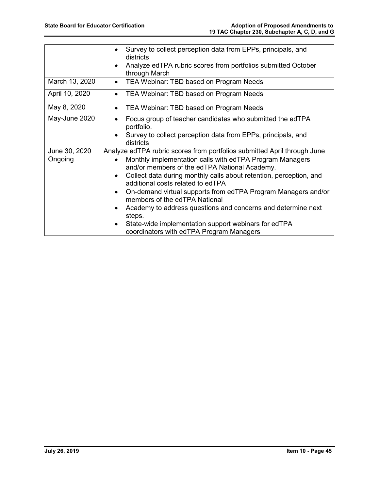|                | Survey to collect perception data from EPPs, principals, and<br>$\bullet$<br>districts<br>Analyze edTPA rubric scores from portfolios submitted October<br>$\bullet$ |
|----------------|----------------------------------------------------------------------------------------------------------------------------------------------------------------------|
|                | through March                                                                                                                                                        |
| March 13, 2020 | TEA Webinar: TBD based on Program Needs<br>$\bullet$                                                                                                                 |
| April 10, 2020 | TEA Webinar: TBD based on Program Needs<br>$\bullet$                                                                                                                 |
| May 8, 2020    | TEA Webinar: TBD based on Program Needs<br>$\bullet$                                                                                                                 |
| May-June 2020  | Focus group of teacher candidates who submitted the edTPA<br>$\bullet$<br>portfolio.                                                                                 |
|                | Survey to collect perception data from EPPs, principals, and<br>$\bullet$<br>districts                                                                               |
| June 30, 2020  | Analyze edTPA rubric scores from portfolios submitted April through June                                                                                             |
| Ongoing        | Monthly implementation calls with edTPA Program Managers<br>$\bullet$<br>and/or members of the edTPA National Academy.                                               |
|                | Collect data during monthly calls about retention, perception, and<br>$\bullet$<br>additional costs related to edTPA                                                 |
|                | On-demand virtual supports from edTPA Program Managers and/or<br>$\bullet$<br>members of the edTPA National                                                          |
|                | Academy to address questions and concerns and determine next<br>$\bullet$<br>steps.                                                                                  |
|                | State-wide implementation support webinars for edTPA<br>$\bullet$<br>coordinators with edTPA Program Managers                                                        |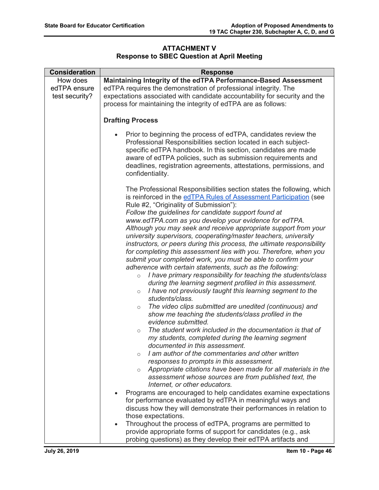# **ATTACHMENT V Response to SBEC Question at April Meeting**

| <b>Consideration</b> | <b>Response</b>                                                                                                                                                                                                                                                                                                                                                                                                                                                                                                                                                                                                                                                                                                                                                                                                                                                                                                                                                                                                                                                                                                                                                                                                                                                                                                                                                                                                                                                                                                                                                  |  |
|----------------------|------------------------------------------------------------------------------------------------------------------------------------------------------------------------------------------------------------------------------------------------------------------------------------------------------------------------------------------------------------------------------------------------------------------------------------------------------------------------------------------------------------------------------------------------------------------------------------------------------------------------------------------------------------------------------------------------------------------------------------------------------------------------------------------------------------------------------------------------------------------------------------------------------------------------------------------------------------------------------------------------------------------------------------------------------------------------------------------------------------------------------------------------------------------------------------------------------------------------------------------------------------------------------------------------------------------------------------------------------------------------------------------------------------------------------------------------------------------------------------------------------------------------------------------------------------------|--|
| How does             | Maintaining Integrity of the edTPA Performance-Based Assessment                                                                                                                                                                                                                                                                                                                                                                                                                                                                                                                                                                                                                                                                                                                                                                                                                                                                                                                                                                                                                                                                                                                                                                                                                                                                                                                                                                                                                                                                                                  |  |
| edTPA ensure         | edTPA requires the demonstration of professional integrity. The                                                                                                                                                                                                                                                                                                                                                                                                                                                                                                                                                                                                                                                                                                                                                                                                                                                                                                                                                                                                                                                                                                                                                                                                                                                                                                                                                                                                                                                                                                  |  |
| test security?       | expectations associated with candidate accountability for security and the                                                                                                                                                                                                                                                                                                                                                                                                                                                                                                                                                                                                                                                                                                                                                                                                                                                                                                                                                                                                                                                                                                                                                                                                                                                                                                                                                                                                                                                                                       |  |
|                      | process for maintaining the integrity of edTPA are as follows:                                                                                                                                                                                                                                                                                                                                                                                                                                                                                                                                                                                                                                                                                                                                                                                                                                                                                                                                                                                                                                                                                                                                                                                                                                                                                                                                                                                                                                                                                                   |  |
|                      |                                                                                                                                                                                                                                                                                                                                                                                                                                                                                                                                                                                                                                                                                                                                                                                                                                                                                                                                                                                                                                                                                                                                                                                                                                                                                                                                                                                                                                                                                                                                                                  |  |
|                      | <b>Drafting Process</b>                                                                                                                                                                                                                                                                                                                                                                                                                                                                                                                                                                                                                                                                                                                                                                                                                                                                                                                                                                                                                                                                                                                                                                                                                                                                                                                                                                                                                                                                                                                                          |  |
|                      | Prior to beginning the process of edTPA, candidates review the<br>$\bullet$<br>Professional Responsibilities section located in each subject-<br>specific edTPA handbook. In this section, candidates are made<br>aware of edTPA policies, such as submission requirements and<br>deadlines, registration agreements, attestations, permissions, and<br>confidentiality.                                                                                                                                                                                                                                                                                                                                                                                                                                                                                                                                                                                                                                                                                                                                                                                                                                                                                                                                                                                                                                                                                                                                                                                         |  |
|                      | The Professional Responsibilities section states the following, which<br>is reinforced in the edTPA Rules of Assessment Participation (see<br>Rule #2, "Originality of Submission"):<br>Follow the guidelines for candidate support found at<br>www.edTPA.com as you develop your evidence for edTPA.<br>Although you may seek and receive appropriate support from your<br>university supervisors, cooperating/master teachers, university<br>instructors, or peers during this process, the ultimate responsibility<br>for completing this assessment lies with you. Therefore, when you<br>submit your completed work, you must be able to confirm your<br>adherence with certain statements, such as the following:<br>I have primary responsibility for teaching the students/class<br>$\circ$<br>during the learning segment profiled in this assessment.<br>I have not previously taught this learning segment to the<br>$\circ$<br>students/class.<br>The video clips submitted are unedited (continuous) and<br>$\circ$<br>show me teaching the students/class profiled in the<br>evidence submitted.<br>The student work included in the documentation is that of<br>$\circ$<br>my students, completed during the learning segment<br>documented in this assessment.<br>I am author of the commentaries and other written<br>$\circ$<br>responses to prompts in this assessment.<br>Appropriate citations have been made for all materials in the<br>$\circ$<br>assessment whose sources are from published text, the<br>Internet, or other educators. |  |
|                      | Programs are encouraged to help candidates examine expectations                                                                                                                                                                                                                                                                                                                                                                                                                                                                                                                                                                                                                                                                                                                                                                                                                                                                                                                                                                                                                                                                                                                                                                                                                                                                                                                                                                                                                                                                                                  |  |
|                      | for performance evaluated by edTPA in meaningful ways and                                                                                                                                                                                                                                                                                                                                                                                                                                                                                                                                                                                                                                                                                                                                                                                                                                                                                                                                                                                                                                                                                                                                                                                                                                                                                                                                                                                                                                                                                                        |  |
|                      | discuss how they will demonstrate their performances in relation to                                                                                                                                                                                                                                                                                                                                                                                                                                                                                                                                                                                                                                                                                                                                                                                                                                                                                                                                                                                                                                                                                                                                                                                                                                                                                                                                                                                                                                                                                              |  |
|                      | those expectations.<br>Throughout the process of edTPA, programs are permitted to<br>$\bullet$                                                                                                                                                                                                                                                                                                                                                                                                                                                                                                                                                                                                                                                                                                                                                                                                                                                                                                                                                                                                                                                                                                                                                                                                                                                                                                                                                                                                                                                                   |  |
|                      | provide appropriate forms of support for candidates (e.g., ask                                                                                                                                                                                                                                                                                                                                                                                                                                                                                                                                                                                                                                                                                                                                                                                                                                                                                                                                                                                                                                                                                                                                                                                                                                                                                                                                                                                                                                                                                                   |  |
|                      | probing questions) as they develop their edTPA artifacts and                                                                                                                                                                                                                                                                                                                                                                                                                                                                                                                                                                                                                                                                                                                                                                                                                                                                                                                                                                                                                                                                                                                                                                                                                                                                                                                                                                                                                                                                                                     |  |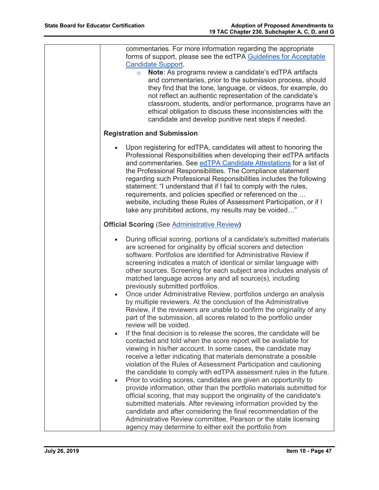| commentaries. For more information regarding the appropriate<br>forms of support, please see the edTPA Guidelines for Acceptable<br><b>Candidate Support.</b><br>Note: As programs review a candidate's edTPA artifacts<br>$\circ$<br>and commentaries, prior to the submission process, should<br>they find that the tone, language, or videos, for example, do<br>not reflect an authentic representation of the candidate's<br>classroom, students, and/or performance, programs have an<br>ethical obligation to discuss these inconsistencies with the<br>candidate and develop punitive next steps if needed.                                                                               |
|---------------------------------------------------------------------------------------------------------------------------------------------------------------------------------------------------------------------------------------------------------------------------------------------------------------------------------------------------------------------------------------------------------------------------------------------------------------------------------------------------------------------------------------------------------------------------------------------------------------------------------------------------------------------------------------------------|
| <b>Registration and Submission</b>                                                                                                                                                                                                                                                                                                                                                                                                                                                                                                                                                                                                                                                                |
| Upon registering for edTPA, candidates will attest to honoring the<br>Professional Responsibilities when developing their edTPA artifacts<br>and commentaries. See edTPA Candidate Attestations for a list of<br>the Professional Responsibilities. The Compliance statement<br>regarding such Professional Responsibilities includes the following<br>statement: "I understand that if I fail to comply with the rules,<br>requirements, and policies specified or referenced on the<br>website, including these Rules of Assessment Participation, or if I<br>take any prohibited actions, my results may be voided"                                                                            |
| <b>Official Scoring (See Administrative Review)</b>                                                                                                                                                                                                                                                                                                                                                                                                                                                                                                                                                                                                                                               |
| During official scoring, portions of a candidate's submitted materials<br>$\bullet$<br>are screened for originality by official scorers and detection<br>software. Portfolios are identified for Administrative Review if<br>screening indicates a match of identical or similar language with<br>other sources. Screening for each subject area includes analysis of<br>matched language across any and all source(s), including<br>previously submitted portfolios.<br>Once under Administrative Review, portfolios undergo an analysis<br>$\bullet$<br>by multiple reviewers. At the conclusion of the Administrative<br>Review, if the reviewers are unable to confirm the originality of any |
| part of the submission, all scores related to the portfolio under<br>review will be voided.<br>If the final decision is to release the scores, the candidate will be<br>contacted and told when the score report will be available for<br>viewing in his/her account. In some cases, the candidate may<br>receive a letter indicating that materials demonstrate a possible<br>violation of the Rules of Assessment Participation and cautioning<br>the candidate to comply with edTPA assessment rules in the future.                                                                                                                                                                            |
| Prior to voiding scores, candidates are given an opportunity to<br>$\bullet$<br>provide information, other than the portfolio materials submitted for<br>official scoring, that may support the originality of the candidate's<br>submitted materials. After reviewing information provided by the<br>candidate and after considering the final recommendation of the<br>Administrative Review committee, Pearson or the state licensing<br>agency may determine to either exit the portfolio from                                                                                                                                                                                                |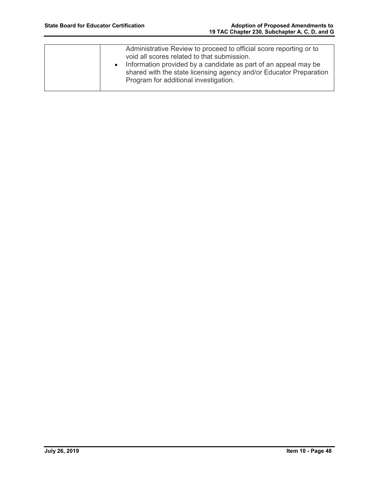| Administrative Review to proceed to official score reporting or to<br>void all scores related to that submission.<br>Information provided by a candidate as part of an appeal may be<br>shared with the state licensing agency and/or Educator Preparation<br>Program for additional investigation. |
|-----------------------------------------------------------------------------------------------------------------------------------------------------------------------------------------------------------------------------------------------------------------------------------------------------|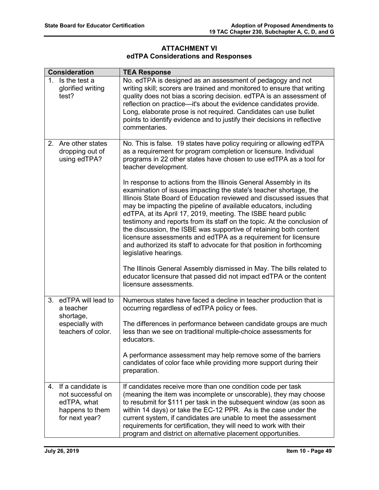### **ATTACHMENT VI edTPA Considerations and Responses**

| <b>Consideration</b>                                                                                       | <b>TEA Response</b>                                                                                                                                                                                                                                                                                                                                                                                                                                                                                                                                                                                                                                                  |  |  |
|------------------------------------------------------------------------------------------------------------|----------------------------------------------------------------------------------------------------------------------------------------------------------------------------------------------------------------------------------------------------------------------------------------------------------------------------------------------------------------------------------------------------------------------------------------------------------------------------------------------------------------------------------------------------------------------------------------------------------------------------------------------------------------------|--|--|
| 1. Is the test a<br>glorified writing<br>test?                                                             | No. edTPA is designed as an assessment of pedagogy and not<br>writing skill; scorers are trained and monitored to ensure that writing<br>quality does not bias a scoring decision. edTPA is an assessment of<br>reflection on practice-it's about the evidence candidates provide.<br>Long, elaborate prose is not required. Candidates can use bullet<br>points to identify evidence and to justify their decisions in reflective<br>commentaries.                                                                                                                                                                                                                  |  |  |
| 2.<br>Are other states<br>dropping out of<br>using edTPA?                                                  | No. This is false. 19 states have policy requiring or allowing edTPA<br>as a requirement for program completion or licensure. Individual<br>programs in 22 other states have chosen to use edTPA as a tool for<br>teacher development.                                                                                                                                                                                                                                                                                                                                                                                                                               |  |  |
|                                                                                                            | In response to actions from the Illinois General Assembly in its<br>examination of issues impacting the state's teacher shortage, the<br>Illinois State Board of Education reviewed and discussed issues that<br>may be impacting the pipeline of available educators, including<br>edTPA, at its April 17, 2019, meeting. The ISBE heard public<br>testimony and reports from its staff on the topic. At the conclusion of<br>the discussion, the ISBE was supportive of retaining both content<br>licensure assessments and edTPA as a requirement for licensure<br>and authorized its staff to advocate for that position in forthcoming<br>legislative hearings. |  |  |
|                                                                                                            | The Illinois General Assembly dismissed in May. The bills related to<br>educator licensure that passed did not impact edTPA or the content<br>licensure assessments.                                                                                                                                                                                                                                                                                                                                                                                                                                                                                                 |  |  |
| edTPA will lead to<br>3 <sub>1</sub><br>a teacher<br>shortage,                                             | Numerous states have faced a decline in teacher production that is<br>occurring regardless of edTPA policy or fees.                                                                                                                                                                                                                                                                                                                                                                                                                                                                                                                                                  |  |  |
| especially with<br>teachers of color.                                                                      | The differences in performance between candidate groups are much<br>less than we see on traditional multiple-choice assessments for<br>educators.                                                                                                                                                                                                                                                                                                                                                                                                                                                                                                                    |  |  |
|                                                                                                            | A performance assessment may help remove some of the barriers<br>candidates of color face while providing more support during their<br>preparation.                                                                                                                                                                                                                                                                                                                                                                                                                                                                                                                  |  |  |
| If a candidate is<br>$\mathbf{4}$<br>not successful on<br>edTPA, what<br>happens to them<br>for next year? | If candidates receive more than one condition code per task<br>(meaning the item was incomplete or unscorable), they may choose<br>to resubmit for \$111 per task in the subsequent window (as soon as<br>within 14 days) or take the EC-12 PPR. As is the case under the<br>current system, if candidates are unable to meet the assessment<br>requirements for certification, they will need to work with their<br>program and district on alternative placement opportunities.                                                                                                                                                                                    |  |  |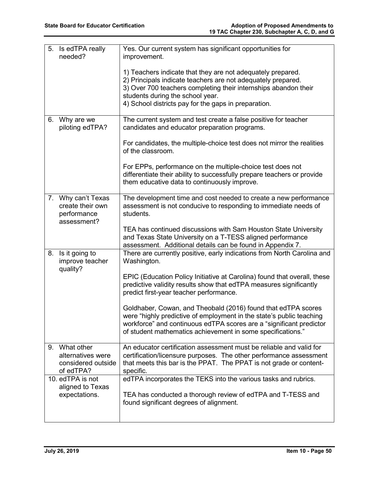| 5.<br>Is edTPA really<br>needed?                 |                                         | Yes. Our current system has significant opportunities for<br>improvement.                                                                                                                                                                                                                  |
|--------------------------------------------------|-----------------------------------------|--------------------------------------------------------------------------------------------------------------------------------------------------------------------------------------------------------------------------------------------------------------------------------------------|
|                                                  |                                         | 1) Teachers indicate that they are not adequately prepared.<br>2) Principals indicate teachers are not adequately prepared.<br>3) Over 700 teachers completing their internships abandon their<br>students during the school year.<br>4) School districts pay for the gaps in preparation. |
| Why are we<br>6.                                 | piloting edTPA?                         | The current system and test create a false positive for teacher<br>candidates and educator preparation programs.                                                                                                                                                                           |
|                                                  |                                         | For candidates, the multiple-choice test does not mirror the realities<br>of the classroom.                                                                                                                                                                                                |
|                                                  |                                         | For EPPs, performance on the multiple-choice test does not<br>differentiate their ability to successfully prepare teachers or provide<br>them educative data to continuously improve.                                                                                                      |
| 7. Why can't Texas<br>performance<br>assessment? | create their own                        | The development time and cost needed to create a new performance<br>assessment is not conducive to responding to immediate needs of<br>students.                                                                                                                                           |
|                                                  |                                         | TEA has continued discussions with Sam Houston State University<br>and Texas State University on a T-TESS aligned performance<br>assessment. Additional details can be found in Appendix 7.                                                                                                |
| Is it going to<br>8.<br>quality?                 | improve teacher                         | There are currently positive, early indications from North Carolina and<br>Washington.                                                                                                                                                                                                     |
|                                                  |                                         | EPIC (Education Policy Initiative at Carolina) found that overall, these<br>predictive validity results show that edTPA measures significantly<br>predict first-year teacher performance.                                                                                                  |
|                                                  |                                         | Goldhaber, Cowan, and Theobald (2016) found that edTPA scores<br>were "highly predictive of employment in the state's public teaching<br>workforce" and continuous edTPA scores are a "significant predictor<br>of student mathematics achievement in some specifications."                |
| 9. What other<br>of edTPA?                       | alternatives were<br>considered outside | An educator certification assessment must be reliable and valid for<br>certification/licensure purposes. The other performance assessment<br>that meets this bar is the PPAT. The PPAT is not grade or content-<br>specific.                                                               |
| 10. edTPA is not<br>expectations.                | aligned to Texas                        | edTPA incorporates the TEKS into the various tasks and rubrics.<br>TEA has conducted a thorough review of edTPA and T-TESS and<br>found significant degrees of alignment.                                                                                                                  |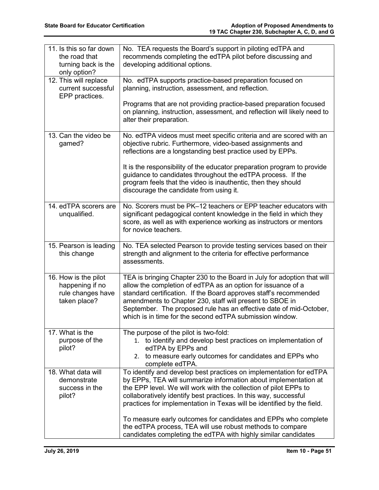| 11. Is this so far down<br>the road that<br>turning back is the              | No. TEA requests the Board's support in piloting edTPA and<br>recommends completing the edTPA pilot before discussing and<br>developing additional options.                                                                                                                                                                                                                                                |
|------------------------------------------------------------------------------|------------------------------------------------------------------------------------------------------------------------------------------------------------------------------------------------------------------------------------------------------------------------------------------------------------------------------------------------------------------------------------------------------------|
| only option?                                                                 |                                                                                                                                                                                                                                                                                                                                                                                                            |
| 12. This will replace<br>current successful<br>EPP practices.                | No. edTPA supports practice-based preparation focused on<br>planning, instruction, assessment, and reflection.                                                                                                                                                                                                                                                                                             |
|                                                                              | Programs that are not providing practice-based preparation focused<br>on planning, instruction, assessment, and reflection will likely need to<br>alter their preparation.                                                                                                                                                                                                                                 |
| 13. Can the video be<br>gamed?                                               | No. edTPA videos must meet specific criteria and are scored with an<br>objective rubric. Furthermore, video-based assignments and<br>reflections are a longstanding best practice used by EPPs.                                                                                                                                                                                                            |
|                                                                              | It is the responsibility of the educator preparation program to provide<br>guidance to candidates throughout the edTPA process. If the<br>program feels that the video is inauthentic, then they should<br>discourage the candidate from using it.                                                                                                                                                         |
| 14. edTPA scorers are<br>unqualified.                                        | No. Scorers must be PK-12 teachers or EPP teacher educators with<br>significant pedagogical content knowledge in the field in which they<br>score, as well as with experience working as instructors or mentors<br>for novice teachers.                                                                                                                                                                    |
| 15. Pearson is leading<br>this change                                        | No. TEA selected Pearson to provide testing services based on their<br>strength and alignment to the criteria for effective performance<br>assessments.                                                                                                                                                                                                                                                    |
| 16. How is the pilot<br>happening if no<br>rule changes have<br>taken place? | TEA is bringing Chapter 230 to the Board in July for adoption that will<br>allow the completion of edTPA as an option for issuance of a<br>standard certification. If the Board approves staff's recommended<br>amendments to Chapter 230, staff will present to SBOE in<br>September. The proposed rule has an effective date of mid-October,<br>which is in time for the second edTPA submission window. |
| 17. What is the<br>purpose of the<br>pilot?                                  | The purpose of the pilot is two-fold:<br>1. to identify and develop best practices on implementation of<br>edTPA by EPPs and<br>2. to measure early outcomes for candidates and EPPs who<br>complete edTPA.                                                                                                                                                                                                |
| 18. What data will<br>demonstrate<br>success in the<br>pilot?                | To identify and develop best practices on implementation for edTPA<br>by EPPs, TEA will summarize information about implementation at<br>the EPP level. We will work with the collection of pilot EPPs to<br>collaboratively identify best practices. In this way, successful<br>practices for implementation in Texas will be identified by the field.                                                    |
|                                                                              | To measure early outcomes for candidates and EPPs who complete<br>the edTPA process, TEA will use robust methods to compare<br>candidates completing the edTPA with highly similar candidates                                                                                                                                                                                                              |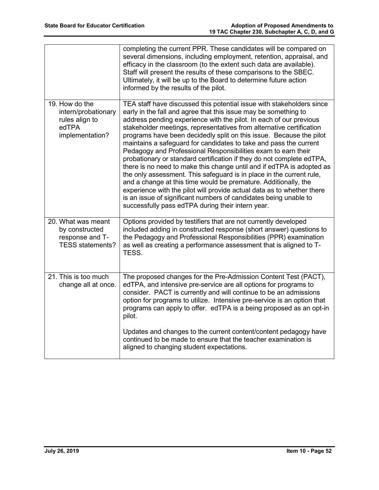|                                                                                     | completing the current PPR. These candidates will be compared on<br>several dimensions, including employment, retention, appraisal, and<br>efficacy in the classroom (to the extent such data are available).<br>Staff will present the results of these comparisons to the SBEC.<br>Ultimately, it will be up to the Board to determine future action<br>informed by the results of the pilot.                                                                                                                                                                                                                                                                                                                                                                                                                                                                                                                                                                                                     |
|-------------------------------------------------------------------------------------|-----------------------------------------------------------------------------------------------------------------------------------------------------------------------------------------------------------------------------------------------------------------------------------------------------------------------------------------------------------------------------------------------------------------------------------------------------------------------------------------------------------------------------------------------------------------------------------------------------------------------------------------------------------------------------------------------------------------------------------------------------------------------------------------------------------------------------------------------------------------------------------------------------------------------------------------------------------------------------------------------------|
| 19. How do the<br>intern/probationary<br>rules align to<br>edTPA<br>implementation? | TEA staff have discussed this potential issue with stakeholders since<br>early in the fall and agree that this issue may be something to<br>address pending experience with the pilot. In each of our previous<br>stakeholder meetings, representatives from alternative certification<br>programs have been decidedly split on this issue. Because the pilot<br>maintains a safeguard for candidates to take and pass the current<br>Pedagogy and Professional Responsibilities exam to earn their<br>probationary or standard certification if they do not complete edTPA,<br>there is no need to make this change until and if edTPA is adopted as<br>the only assessment. This safeguard is in place in the current rule,<br>and a change at this time would be premature. Additionally, the<br>experience with the pilot will provide actual data as to whether there<br>is an issue of significant numbers of candidates being unable to<br>successfully pass edTPA during their intern year. |
| 20. What was meant<br>by constructed<br>response and T-<br><b>TESS statements?</b>  | Options provided by testifiers that are not currently developed<br>included adding in constructed response (short answer) questions to<br>the Pedagogy and Professional Responsibilities (PPR) examination<br>as well as creating a performance assessment that is aligned to T-<br>TESS.                                                                                                                                                                                                                                                                                                                                                                                                                                                                                                                                                                                                                                                                                                           |
| 21. This is too much<br>change all at once.                                         | The proposed changes for the Pre-Admission Content Test (PACT),<br>edTPA, and intensive pre-service are all options for programs to<br>consider. PACT is currently and will continue to be an admissions<br>option for programs to utilize. Intensive pre-service is an option that<br>programs can apply to offer. edTPA is a being proposed as an opt-in<br>pilot.                                                                                                                                                                                                                                                                                                                                                                                                                                                                                                                                                                                                                                |
|                                                                                     | Updates and changes to the current content/content pedagogy have<br>continued to be made to ensure that the teacher examination is<br>aligned to changing student expectations.                                                                                                                                                                                                                                                                                                                                                                                                                                                                                                                                                                                                                                                                                                                                                                                                                     |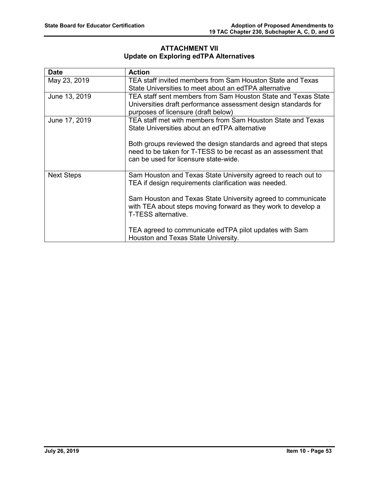# **ATTACHMENT VII Update on Exploring edTPA Alternatives**

| <b>Date</b>       | <b>Action</b>                                                   |
|-------------------|-----------------------------------------------------------------|
| May 23, 2019      | TEA staff invited members from Sam Houston State and Texas      |
|                   | State Universities to meet about an edTPA alternative           |
| June 13, 2019     | TEA staff sent members from Sam Houston State and Texas State   |
|                   | Universities draft performance assessment design standards for  |
|                   | purposes of licensure (draft below)                             |
| June 17, 2019     | TEA staff met with members from Sam Houston State and Texas     |
|                   | State Universities about an edTPA alternative                   |
|                   |                                                                 |
|                   | Both groups reviewed the design standards and agreed that steps |
|                   | need to be taken for T-TESS to be recast as an assessment that  |
|                   | can be used for licensure state-wide.                           |
|                   |                                                                 |
| <b>Next Steps</b> | Sam Houston and Texas State University agreed to reach out to   |
|                   | TEA if design requirements clarification was needed.            |
|                   |                                                                 |
|                   | Sam Houston and Texas State University agreed to communicate    |
|                   | with TEA about steps moving forward as they work to develop a   |
|                   | T-TESS alternative.                                             |
|                   |                                                                 |
|                   | TEA agreed to communicate edTPA pilot updates with Sam          |
|                   | Houston and Texas State University.                             |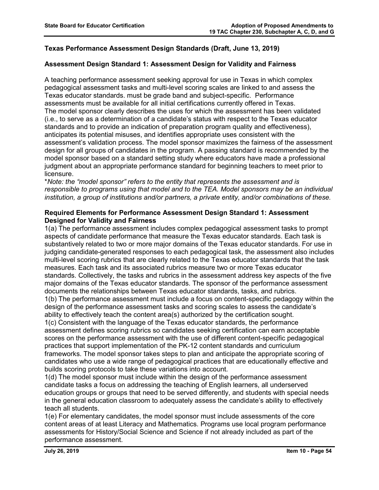# **Texas Performance Assessment Design Standards (Draft, June 13, 2019)**

### **Assessment Design Standard 1: Assessment Design for Validity and Fairness**

A teaching performance assessment seeking approval for use in Texas in which complex pedagogical assessment tasks and multi-level scoring scales are linked to and assess the Texas educator standards. must be grade band and subject-specific. Performance assessments must be available for all initial certifications currently offered in Texas. The model sponsor clearly describes the uses for which the assessment has been validated (i.e., to serve as a determination of a candidate's status with respect to the Texas educator standards and to provide an indication of preparation program quality and effectiveness), anticipates its potential misuses, and identifies appropriate uses consistent with the assessment's validation process. The model sponsor maximizes the fairness of the assessment design for all groups of candidates in the program. A passing standard is recommended by the model sponsor based on a standard setting study where educators have made a professional judgment about an appropriate performance standard for beginning teachers to meet prior to licensure.

\**Note: the "model sponsor" refers to the entity that represents the assessment and is responsible to programs using that model and to the TEA. Model sponsors may be an individual institution, a group of institutions and/or partners, a private entity, and/or combinations of these.* 

### **Required Elements for Performance Assessment Design Standard 1: Assessment Designed for Validity and Fairness**

1(a) The performance assessment includes complex pedagogical assessment tasks to prompt aspects of candidate performance that measure the Texas educator standards. Each task is substantively related to two or more major domains of the Texas educator standards. For use in judging candidate-generated responses to each pedagogical task, the assessment also includes multi-level scoring rubrics that are clearly related to the Texas educator standards that the task measures. Each task and its associated rubrics measure two or more Texas educator standards. Collectively, the tasks and rubrics in the assessment address key aspects of the five major domains of the Texas educator standards. The sponsor of the performance assessment documents the relationships between Texas educator standards, tasks, and rubrics.

1(b) The performance assessment must include a focus on content-specific pedagogy within the design of the performance assessment tasks and scoring scales to assess the candidate's ability to effectively teach the content area(s) authorized by the certification sought.

1(c) Consistent with the language of the Texas educator standards, the performance assessment defines scoring rubrics so candidates seeking certification can earn acceptable scores on the performance assessment with the use of different content-specific pedagogical practices that support implementation of the PK-12 content standards and curriculum frameworks. The model sponsor takes steps to plan and anticipate the appropriate scoring of candidates who use a wide range of pedagogical practices that are educationally effective and builds scoring protocols to take these variations into account.

1(d) The model sponsor must include within the design of the performance assessment candidate tasks a focus on addressing the teaching of English learners, all underserved education groups or groups that need to be served differently, and students with special needs in the general education classroom to adequately assess the candidate's ability to effectively teach all students.

1(e) For elementary candidates, the model sponsor must include assessments of the core content areas of at least Literacy and Mathematics. Programs use local program performance assessments for History/Social Science and Science if not already included as part of the performance assessment.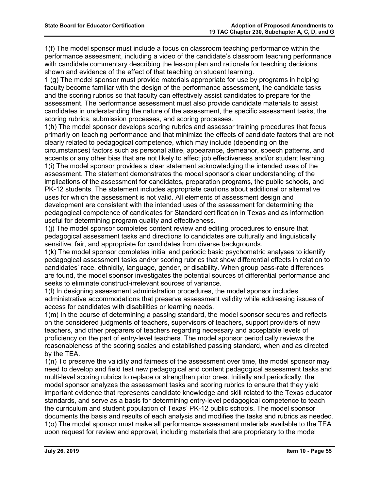1(f) The model sponsor must include a focus on classroom teaching performance within the performance assessment, including a video of the candidate's classroom teaching performance with candidate commentary describing the lesson plan and rationale for teaching decisions shown and evidence of the effect of that teaching on student learning.

1 (g) The model sponsor must provide materials appropriate for use by programs in helping faculty become familiar with the design of the performance assessment, the candidate tasks and the scoring rubrics so that faculty can effectively assist candidates to prepare for the assessment. The performance assessment must also provide candidate materials to assist candidates in understanding the nature of the assessment, the specific assessment tasks, the scoring rubrics, submission processes, and scoring processes.

1(h) The model sponsor develops scoring rubrics and assessor training procedures that focus primarily on teaching performance and that minimize the effects of candidate factors that are not clearly related to pedagogical competence, which may include (depending on the circumstances) factors such as personal attire, appearance, demeanor, speech patterns, and

accents or any other bias that are not likely to affect job effectiveness and/or student learning. 1(i) The model sponsor provides a clear statement acknowledging the intended uses of the assessment. The statement demonstrates the model sponsor's clear understanding of the implications of the assessment for candidates, preparation programs, the public schools, and PK-12 students. The statement includes appropriate cautions about additional or alternative uses for which the assessment is not valid. All elements of assessment design and development are consistent with the intended uses of the assessment for determining the pedagogical competence of candidates for Standard certification in Texas and as information useful for determining program quality and effectiveness.

1(j) The model sponsor completes content review and editing procedures to ensure that pedagogical assessment tasks and directions to candidates are culturally and linguistically sensitive, fair, and appropriate for candidates from diverse backgrounds.

1(k) The model sponsor completes initial and periodic basic psychometric analyses to identify pedagogical assessment tasks and/or scoring rubrics that show differential effects in relation to candidates' race, ethnicity, language, gender, or disability. When group pass-rate differences are found, the model sponsor investigates the potential sources of differential performance and seeks to eliminate construct-irrelevant sources of variance.

1(l) In designing assessment administration procedures, the model sponsor includes administrative accommodations that preserve assessment validity while addressing issues of access for candidates with disabilities or learning needs.

1(m) In the course of determining a passing standard, the model sponsor secures and reflects on the considered judgments of teachers, supervisors of teachers, support providers of new teachers, and other preparers of teachers regarding necessary and acceptable levels of proficiency on the part of entry-level teachers. The model sponsor periodically reviews the reasonableness of the scoring scales and established passing standard, when and as directed by the TEA.

1(n) To preserve the validity and fairness of the assessment over time, the model sponsor may need to develop and field test new pedagogical and content pedagogical assessment tasks and multi-level scoring rubrics to replace or strengthen prior ones. Initially and periodically, the model sponsor analyzes the assessment tasks and scoring rubrics to ensure that they yield important evidence that represents candidate knowledge and skill related to the Texas educator standards, and serve as a basis for determining entry-level pedagogical competence to teach the curriculum and student population of Texas' PK-12 public schools. The model sponsor documents the basis and results of each analysis and modifies the tasks and rubrics as needed. 1(o) The model sponsor must make all performance assessment materials available to the TEA upon request for review and approval, including materials that are proprietary to the model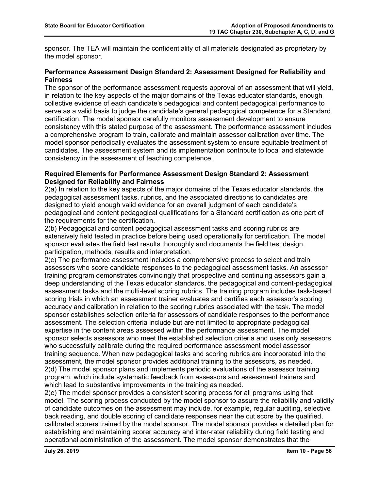sponsor. The TEA will maintain the confidentiality of all materials designated as proprietary by the model sponsor.

### **Performance Assessment Design Standard 2: Assessment Designed for Reliability and Fairness**

The sponsor of the performance assessment requests approval of an assessment that will yield, in relation to the key aspects of the major domains of the Texas educator standards, enough collective evidence of each candidate's pedagogical and content pedagogical performance to serve as a valid basis to judge the candidate's general pedagogical competence for a Standard certification. The model sponsor carefully monitors assessment development to ensure consistency with this stated purpose of the assessment. The performance assessment includes a comprehensive program to train, calibrate and maintain assessor calibration over time. The model sponsor periodically evaluates the assessment system to ensure equitable treatment of candidates. The assessment system and its implementation contribute to local and statewide consistency in the assessment of teaching competence.

### **Required Elements for Performance Assessment Design Standard 2: Assessment Designed for Reliability and Fairness**

2(a) In relation to the key aspects of the major domains of the Texas educator standards, the pedagogical assessment tasks, rubrics, and the associated directions to candidates are designed to yield enough valid evidence for an overall judgment of each candidate's pedagogical and content pedagogical qualifications for a Standard certification as one part of the requirements for the certification.

2(b) Pedagogical and content pedagogical assessment tasks and scoring rubrics are extensively field tested in practice before being used operationally for certification. The model sponsor evaluates the field test results thoroughly and documents the field test design, participation, methods, results and interpretation.

2(c) The performance assessment includes a comprehensive process to select and train assessors who score candidate responses to the pedagogical assessment tasks. An assessor training program demonstrates convincingly that prospective and continuing assessors gain a deep understanding of the Texas educator standards, the pedagogical and content-pedagogical assessment tasks and the multi-level scoring rubrics. The training program includes task-based scoring trials in which an assessment trainer evaluates and certifies each assessor's scoring accuracy and calibration in relation to the scoring rubrics associated with the task. The model sponsor establishes selection criteria for assessors of candidate responses to the performance assessment. The selection criteria include but are not limited to appropriate pedagogical expertise in the content areas assessed within the performance assessment. The model sponsor selects assessors who meet the established selection criteria and uses only assessors who successfully calibrate during the required performance assessment model assessor training sequence. When new pedagogical tasks and scoring rubrics are incorporated into the assessment, the model sponsor provides additional training to the assessors, as needed. 2(d) The model sponsor plans and implements periodic evaluations of the assessor training program, which include systematic feedback from assessors and assessment trainers and which lead to substantive improvements in the training as needed.

2(e) The model sponsor provides a consistent scoring process for all programs using that model. The scoring process conducted by the model sponsor to assure the reliability and validity of candidate outcomes on the assessment may include, for example, regular auditing, selective back reading, and double scoring of candidate responses near the cut score by the qualified, calibrated scorers trained by the model sponsor. The model sponsor provides a detailed plan for establishing and maintaining scorer accuracy and inter-rater reliability during field testing and operational administration of the assessment. The model sponsor demonstrates that the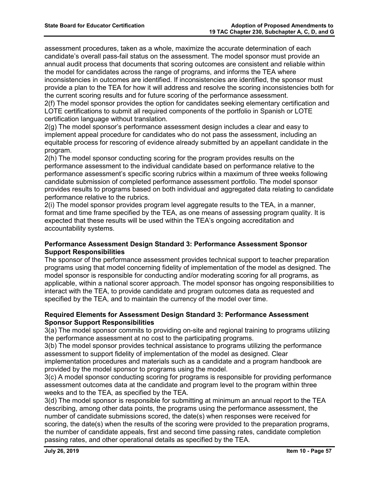assessment procedures, taken as a whole, maximize the accurate determination of each candidate's overall pass-fail status on the assessment. The model sponsor must provide an annual audit process that documents that scoring outcomes are consistent and reliable within the model for candidates across the range of programs, and informs the TEA where inconsistencies in outcomes are identified. If inconsistencies are identified, the sponsor must provide a plan to the TEA for how it will address and resolve the scoring inconsistencies both for the current scoring results and for future scoring of the performance assessment.

2(f) The model sponsor provides the option for candidates seeking elementary certification and LOTE certifications to submit all required components of the portfolio in Spanish or LOTE certification language without translation.

2(g) The model sponsor's performance assessment design includes a clear and easy to implement appeal procedure for candidates who do not pass the assessment, including an equitable process for rescoring of evidence already submitted by an appellant candidate in the program.

2(h) The model sponsor conducting scoring for the program provides results on the performance assessment to the individual candidate based on performance relative to the performance assessment's specific scoring rubrics within a maximum of three weeks following candidate submission of completed performance assessment portfolio. The model sponsor provides results to programs based on both individual and aggregated data relating to candidate performance relative to the rubrics.

2(i) The model sponsor provides program level aggregate results to the TEA, in a manner, format and time frame specified by the TEA, as one means of assessing program quality. It is expected that these results will be used within the TEA's ongoing accreditation and accountability systems.

### **Performance Assessment Design Standard 3: Performance Assessment Sponsor Support Responsibilities**

The sponsor of the performance assessment provides technical support to teacher preparation programs using that model concerning fidelity of implementation of the model as designed. The model sponsor is responsible for conducting and/or moderating scoring for all programs, as applicable, within a national scorer approach. The model sponsor has ongoing responsibilities to interact with the TEA, to provide candidate and program outcomes data as requested and specified by the TEA, and to maintain the currency of the model over time.

### **Required Elements for Assessment Design Standard 3: Performance Assessment Sponsor Support Responsibilities**

3(a) The model sponsor commits to providing on-site and regional training to programs utilizing the performance assessment at no cost to the participating programs.

3(b) The model sponsor provides technical assistance to programs utilizing the performance assessment to support fidelity of implementation of the model as designed. Clear implementation procedures and materials such as a candidate and a program handbook are

provided by the model sponsor to programs using the model.

3(c) A model sponsor conducting scoring for programs is responsible for providing performance assessment outcomes data at the candidate and program level to the program within three weeks and to the TEA, as specified by the TEA.

3(d) The model sponsor is responsible for submitting at minimum an annual report to the TEA describing, among other data points, the programs using the performance assessment, the number of candidate submissions scored, the date(s) when responses were received for scoring, the date(s) when the results of the scoring were provided to the preparation programs, the number of candidate appeals, first and second time passing rates, candidate completion passing rates, and other operational details as specified by the TEA.